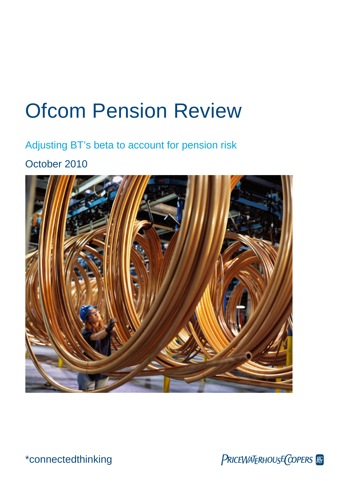# Ofcom Pension Review

Adjusting BT's beta to account for pension risk

October 2010



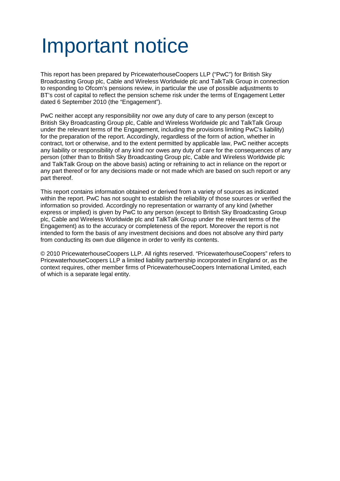# Important notice

This report has been prepared by PricewaterhouseCoopers LLP ("PwC") for British Sky Broadcasting Group plc, Cable and Wireless Worldwide plc and TalkTalk Group in connection to responding to Ofcom's pensions review, in particular the use of possible adjustments to BT's cost of capital to reflect the pension scheme risk under the terms of Engagement Letter dated 6 September 2010 (the "Engagement").

PwC neither accept any responsibility nor owe any duty of care to any person (except to British Sky Broadcasting Group plc, Cable and Wireless Worldwide plc and TalkTalk Group under the relevant terms of the Engagement, including the provisions limiting PwC's liability) for the preparation of the report. Accordingly, regardless of the form of action, whether in contract, tort or otherwise, and to the extent permitted by applicable law, PwC neither accepts any liability or responsibility of any kind nor owes any duty of care for the consequences of any person (other than to British Sky Broadcasting Group plc, Cable and Wireless Worldwide plc and TalkTalk Group on the above basis) acting or refraining to act in reliance on the report or any part thereof or for any decisions made or not made which are based on such report or any part thereof.

This report contains information obtained or derived from a variety of sources as indicated within the report. PwC has not sought to establish the reliability of those sources or verified the information so provided. Accordingly no representation or warranty of any kind (whether express or implied) is given by PwC to any person (except to British Sky Broadcasting Group plc, Cable and Wireless Worldwide plc and TalkTalk Group under the relevant terms of the Engagement) as to the accuracy or completeness of the report. Moreover the report is not intended to form the basis of any investment decisions and does not absolve any third party from conducting its own due diligence in order to verify its contents.

© 2010 PricewaterhouseCoopers LLP. All rights reserved. "PricewaterhouseCoopers" refers to PricewaterhouseCoopers LLP a limited liability partnership incorporated in England or, as the context requires, other member firms of PricewaterhouseCoopers International Limited, each of which is a separate legal entity.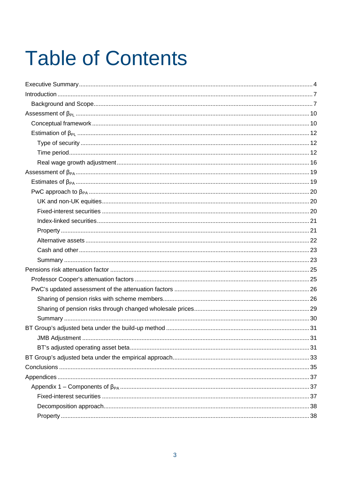# **Table of Contents**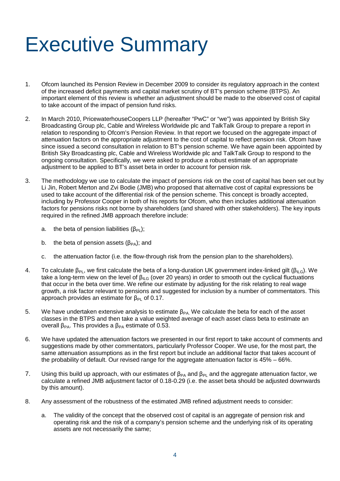# Executive Summary

- 1. Ofcom launched its Pension Review in December 2009 to consider its regulatory approach in the context of the increased deficit payments and capital market scrutiny of BT's pension scheme (BTPS). An important element of this review is whether an adjustment should be made to the observed cost of capital to take account of the impact of pension fund risks.
- 2. In March 2010, PricewaterhouseCoopers LLP (hereafter "PwC" or "we") was appointed by British Sky Broadcasting Group plc, Cable and Wireless Worldwide plc and TalkTalk Group to prepare a report in relation to responding to Ofcom's Pension Review. In that report we focused on the aggregate impact of attenuation factors on the appropriate adjustment to the cost of capital to reflect pension risk. Ofcom have since issued a second consultation in relation to BT's pension scheme. We have again been appointed by British Sky Broadcasting plc, Cable and Wireless Worldwide plc and TalkTalk Group to respond to the ongoing consultation. Specifically, we were asked to produce a robust estimate of an appropriate adjustment to be applied to BT's asset beta in order to account for pension risk.
- 3. The methodology we use to calculate the impact of pensions risk on the cost of capital has been set out by Li Jin, Robert Merton and Zvi Bodie (JMB) who proposed that alternative cost of capital expressions be used to take account of the differential risk of the pension scheme. This concept is broadly accepted, including by Professor Cooper in both of his reports for Ofcom, who then includes additional attenuation factors for pensions risks not borne by shareholders (and shared with other stakeholders). The key inputs required in the refined JMB approach therefore include:
	- a. the beta of pension liabilities  $(\beta_{\text{Pl}})$ ;
	- b. the beta of pension assets  $(\beta_{PA})$ ; and
	- c. the attenuation factor (i.e. the flow-through risk from the pension plan to the shareholders).
- 4. To calculate  $\beta_{PL}$ , we first calculate the beta of a long-duration UK government index-linked gilt ( $\beta_{ILG}$ ). We take a long-term view on the level of  $\beta_{\text{II-G}}$  (over 20 years) in order to smooth out the cyclical fluctuations that occur in the beta over time. We refine our estimate by adjusting for the risk relating to real wage growth, a risk factor relevant to pensions and suggested for inclusion by a number of commentators. This approach provides an estimate for  $β_{PI}$  of 0.17.
- 5. We have undertaken extensive analysis to estimate  $\beta_{PA}$ . We calculate the beta for each of the asset classes in the BTPS and then take a value weighted average of each asset class beta to estimate an overall  $β_{PA}$ . This provides a  $β_{PA}$  estimate of 0.53.
- 6. We have updated the attenuation factors we presented in our first report to take account of comments and suggestions made by other commentators, particularly Professor Cooper. We use, for the most part, the same attenuation assumptions as in the first report but include an additional factor that takes account of the probability of default. Our revised range for the aggregate attenuation factor is 45% – 66%.
- 7. Using this build up approach, with our estimates of  $\beta_{PA}$  and  $\beta_{PL}$  and the aggregate attenuation factor, we calculate a refined JMB adjustment factor of 0.18-0.29 (i.e. the asset beta should be adjusted downwards by this amount).
- 8. Any assessment of the robustness of the estimated JMB refined adjustment needs to consider:
	- a. The validity of the concept that the observed cost of capital is an aggregate of pension risk and operating risk and the risk of a company's pension scheme and the underlying risk of its operating assets are not necessarily the same;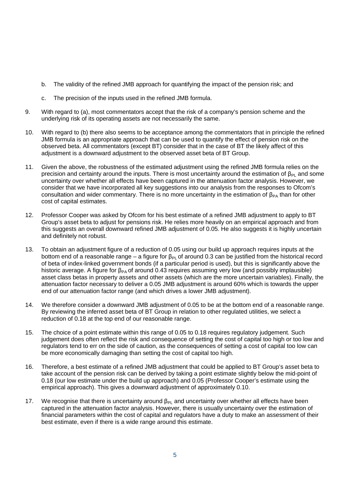- b. The validity of the refined JMB approach for quantifying the impact of the pension risk; and
- c. The precision of the inputs used in the refined JMB formula.
- 9. With regard to (a), most commentators accept that the risk of a company's pension scheme and the underlying risk of its operating assets are not necessarily the same.
- 10. With regard to (b) there also seems to be acceptance among the commentators that in principle the refined JMB formula is an appropriate approach that can be used to quantify the effect of pension risk on the observed beta. All commentators (except BT) consider that in the case of BT the likely affect of this adjustment is a downward adjustment to the observed asset beta of BT Group.
- 11. Given the above, the robustness of the estimated adjustment using the refined JMB formula relies on the precision and certainty around the inputs. There is most uncertainty around the estimation of β<sub>PL</sub> and some uncertainty over whether all effects have been captured in the attenuation factor analysis. However, we consider that we have incorporated all key suggestions into our analysis from the responses to Ofcom's consultation and wider commentary. There is no more uncertainty in the estimation of  $\beta_{PA}$  than for other cost of capital estimates.
- 12. Professor Cooper was asked by Ofcom for his best estimate of a refined JMB adjustment to apply to BT Group's asset beta to adjust for pensions risk. He relies more heavily on an empirical approach and from this suggests an overall downward refined JMB adjustment of 0.05. He also suggests it is highly uncertain and definitely not robust.
- 13. To obtain an adjustment figure of a reduction of 0.05 using our build up approach requires inputs at the bottom end of a reasonable range – a figure for  $\beta_{Pl}$  of around 0.3 can be justified from the historical record of beta of index-linked government bonds (if a particular period is used), but this is significantly above the historic average. A figure for  $\beta_{PA}$  of around 0.43 requires assuming very low (and possibly implausible) asset class betas in property assets and other assets (which are the more uncertain variables). Finally, the attenuation factor necessary to deliver a 0.05 JMB adjustment is around 60% which is towards the upper end of our attenuation factor range (and which drives a lower JMB adjustment).
- 14. We therefore consider a downward JMB adjustment of 0.05 to be at the bottom end of a reasonable range. By reviewing the inferred asset beta of BT Group in relation to other regulated utilities, we select a reduction of 0.18 at the top end of our reasonable range.
- 15. The choice of a point estimate within this range of 0.05 to 0.18 requires regulatory judgement. Such judgement does often reflect the risk and consequence of setting the cost of capital too high or too low and regulators tend to err on the side of caution, as the consequences of setting a cost of capital too low can be more economically damaging than setting the cost of capital too high.
- 16. Therefore, a best estimate of a refined JMB adjustment that could be applied to BT Group's asset beta to take account of the pension risk can be derived by taking a point estimate slightly below the mid-point of 0.18 (our low estimate under the build up approach) and 0.05 (Professor Cooper's estimate using the empirical approach). This gives a downward adjustment of approximately 0.10.
- 17. We recognise that there is uncertainty around  $\beta_{PL}$  and uncertainty over whether all effects have been captured in the attenuation factor analysis. However, there is usually uncertainty over the estimation of financial parameters within the cost of capital and regulators have a duty to make an assessment of their best estimate, even if there is a wide range around this estimate.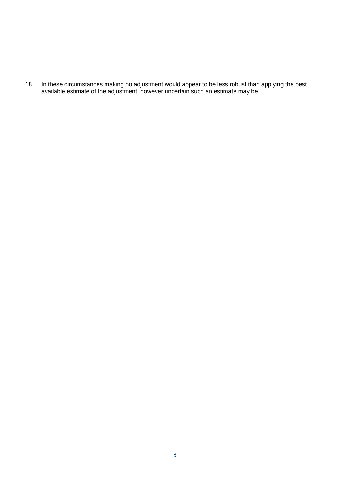18. In these circumstances making no adjustment would appear to be less robust than applying the best available estimate of the adjustment, however uncertain such an estimate may be.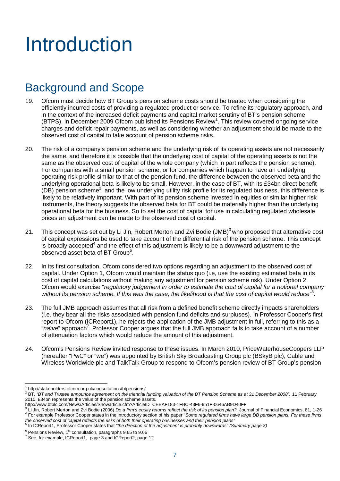# Introduction

# Background and Scope

- 19. Ofcom must decide how BT Group's pension scheme costs should be treated when considering the efficiently incurred costs of providing a regulated product or service. To refine its regulatory approach, and in the context of the increased deficit payments and capital market scrutiny of BT's pension scheme (BTPS), in December 2009 Ofcom published its Pensions Review<sup>1</sup>. This review covered ongoing service charges and deficit repair payments, as well as considering whether an adjustment should be made to the observed cost of capital to take account of pension scheme risks.
- 20. The risk of a company's pension scheme and the underlying risk of its operating assets are not necessarily the same, and therefore it is possible that the underlying cost of capital of the operating assets is not the same as the observed cost of capital of the whole company (which in part reflects the pension scheme). For companies with a small pension scheme, or for companies which happen to have an underlying operating risk profile similar to that of the pension fund, the difference between the observed beta and the underlying operational beta is likely to be small. However, in the case of BT, with its £34bn direct benefit (DB) pension scheme<sup>2</sup>, and the low underlying utility risk profile for its regulated business, this difference is likely to be relatively important. With part of its pension scheme invested in equities or similar higher risk instruments, the theory suggests the observed beta for BT could be materially higher than the underlying operational beta for the business. So to set the cost of capital for use in calculating regulated wholesale prices an adjustment can be made to the observed cost of capital.
- 21. This concept was set out by Li Jin, Robert Merton and Zvi Bodie (JMB)<sup>3</sup> who proposed that alternative cost of capital expressions be used to take account of the differential risk of the pension scheme. This concept is broadly accepted<sup>4</sup> and the effect of this adjustment is likely to be a downward adjustment to the observed asset beta of BT Group<sup>5</sup>.
- 22. In its first consultation, Ofcom considered two options regarding an adjustment to the observed cost of capital. Under Option 1, Ofcom would maintain the status quo (i.e, use the existing estimated beta in its cost of capital calculations without making any adjustment for pension scheme risk). Under Option 2 Ofcom would exercise "*regulatory judgement in order to estimate the cost of capital for a notional company without its pension scheme. If this was the case, the likelihood is that the cost of capital would reduce*" 6 .
- 23. The full JMB approach assumes that all risk from a defined benefit scheme directly impacts shareholders (i.e. they bear all the risks associated with pension fund deficits and surpluses). In Professor Cooper's first report to Ofcom (ICReport1), he rejects the application of the JMB adjustment in full, referring to this as a "naïve" approach<sup>7</sup>. Professor Cooper argues that the full JMB approach fails to take account of a number of attenuation factors which would reduce the amount of this adjustment.
- 24. Ofcom's Pensions Review invited response to these issues. In March 2010, PriceWaterhouseCoopers LLP (hereafter "PwC" or "we") was appointed by British Sky Broadcasting Group plc (BSkyB plc), Cable and Wireless Worldwide plc and TalkTalk Group to respond to Ofcom's pension review of BT Group's pension

<sup>1</sup> http://stakeholders.ofcom.org.uk/consultations/btpensions/

<sup>2</sup> BT, *"BT and Trustee announce agreement on the triennial funding valuation of the BT Pension Scheme as at 31 December 2008",* 11 February 2010. £34bn represents the value of the pension scheme assets.

http://www.btplc.com/News/Articles/Showarticle.cfm?ArticleID=CEEAF183-1FBC-43F6-951F-0646AB9D40FF

<sup>&</sup>lt;sup>3</sup> Li Jin, Robert Merton and Zvi Bodie (2006) *Do a firm's equity returns reflect the risk of its pension plan?,* Journal of Financial Economics, 81, 1-26 4 For example Professor Cooper states in the introductory section of his paper "*Some regulated firms have large DB pension plans. For these firms the observed cost of capital reflects the risks of both their operating businesses and their pension plans'*<br><sup>5</sup> In ICBopert1, Prefeceer Ceoper states that "the direction of the edivationation prebably downwards" (Si

In ICReport1, Professor Cooper states that *"the direction of the adjustment is probably downwards" (Summary page 3)*

 $6$  Pensions Review, 1 $st$  consultation, paragraphs 9.65 to 9.66

<sup>7</sup> See, for example, ICReport1, page 3 and ICReport2, page 12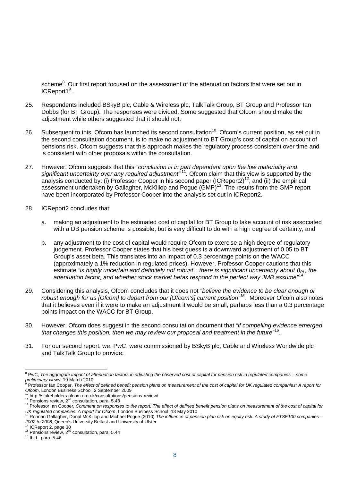scheme<sup>8</sup>. Our first report focused on the assessment of the attenuation factors that were set out in ICReport1<sup>9</sup>.

- 25. Respondents included BSkyB plc, Cable & Wireless plc, TalkTalk Group, BT Group and Professor Ian Dobbs (for BT Group). The responses were divided. Some suggested that Ofcom should make the adjustment while others suggested that it should not.
- 26. Subsequent to this, Ofcom has launched its second consultation<sup>10</sup>. Ofcom's current position, as set out in the second consultation document, is to make no adjustment to BT Group's cost of capital on account of pensions risk. Ofcom suggests that this approach makes the regulatory process consistent over time and is consistent with other proposals within the consultation.
- 27. However, Ofcom suggests that this *"conclusion is in part dependent upon the low materiality and* significant uncertainty over any required adjustment"<sup>11</sup>. Ofcom claim that this view is supported by the analysis conducted by: (i) Professor Cooper in his second paper (ICReport2)<sup>12</sup>; and (ii) the empirical assessment undertaken by Gallagher, McKillop and Pogue (GMP)<sup>13</sup>. The results from the GMP report have been incorporated by Professor Cooper into the analysis set out in ICReport2.
- 28. ICReport2 concludes that:
	- a. making an adjustment to the estimated cost of capital for BT Group to take account of risk associated with a DB pension scheme is possible, but is very difficult to do with a high degree of certainty; and
	- b. any adjustment to the cost of capital would require Ofcom to exercise a high degree of regulatory judgement. Professor Cooper states that his best guess is a downward adjustment of 0.05 to BT Group's asset beta. This translates into an impact of 0.3 percentage points on the WACC (approximately a 1% reduction in regulated prices). However, Professor Cooper cautions that this estimate *"is highly uncertain and definitely not robust…there is significant uncertainty about βPL, the attenuation factor, and whether stock market betas respond in the perfect way JMB assume"*<sup>14</sup> .
- 29. Considering this analysis, Ofcom concludes that it does not *"believe the evidence to be clear enough or robust enough for us [Ofcom] to depart from our [Ofcom's] current position"<sup>15</sup> .* Moreover Ofcom also notes that it believes even if it were to make an adjustment it would be small, perhaps less than a 0.3 percentage points impact on the WACC for BT Group.
- 30. However, Ofcom does suggest in the second consultation document that *"if compelling evidence emerged that changes this position, then we may review our proposal and treatment in the future*" 16 .
- 31. For our second report, we, PwC, were commissioned by BSkyB plc, Cable and Wireless Worldwide plc and TalkTalk Group to provide:

<sup>8</sup> PwC, *The aggregate impact of attenuation factors in adjusting the observed cost of capital for pension risk in regulated companies – some preliminary views*, 19 March 2010

<sup>9</sup> Professor Ian Cooper, *The effect of defined benefit pension plans on measurement of the cost of capital for UK regulated companies: A report for Ofcom*, London Business School, 2 September 2009

http://stakeholders.ofcom.org.uk/consultations/pensions-review/

 $11$  Pensions review,  $2<sup>nd</sup>$  consultation, para. 5.43

<sup>&</sup>lt;sup>12</sup> Professor Ian Cooper, *Comment on responses to the report: The effect of defined benefit pension plans on measurement of the cost of capital for UK regulated companies: A report for Ofcom*, London Business School, 13 May 2010

<sup>13</sup> Ronnan Gallagher, Donal McKillop and Michael Pogue (2010) *The influence of pension plan risk on equity risk: A study of FTSE100 companies – 2002 to 2008*, Queen's University Belfast and University of Ulster

ICReport 2, page 30

<sup>&</sup>lt;sup>15</sup> Pensions review,  $2^{nd}$  consultation, para. 5.44

<sup>16</sup> Ibid. para. 5.46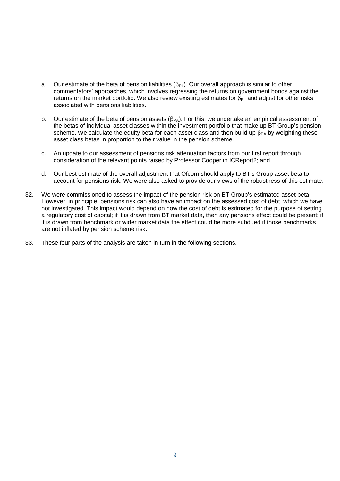- a. Our estimate of the beta of pension liabilities ( $\beta_{PL}$ ). Our overall approach is similar to other commentators' approaches, which involves regressing the returns on government bonds against the returns on the market portfolio. We also review existing estimates for  $\beta_{Pl}$  and adjust for other risks associated with pensions liabilities.
- b. Our estimate of the beta of pension assets ( $\beta_{PA}$ ). For this, we undertake an empirical assessment of the betas of individual asset classes within the investment portfolio that make up BT Group's pension scheme. We calculate the equity beta for each asset class and then build up  $\beta_{PA}$  by weighting these asset class betas in proportion to their value in the pension scheme.
- c. An update to our assessment of pensions risk attenuation factors from our first report through consideration of the relevant points raised by Professor Cooper in ICReport2; and
- d. Our best estimate of the overall adjustment that Ofcom should apply to BT's Group asset beta to account for pensions risk. We were also asked to provide our views of the robustness of this estimate.
- 32. We were commissioned to assess the impact of the pension risk on BT Group's estimated asset beta. However, in principle, pensions risk can also have an impact on the assessed cost of debt, which we have not investigated. This impact would depend on how the cost of debt is estimated for the purpose of setting a regulatory cost of capital; if it is drawn from BT market data, then any pensions effect could be present; if it is drawn from benchmark or wider market data the effect could be more subdued if those benchmarks are not inflated by pension scheme risk.
- 33. These four parts of the analysis are taken in turn in the following sections.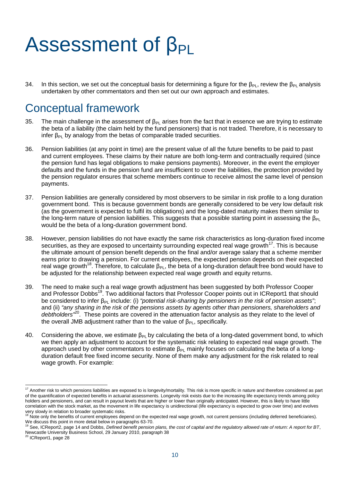# Assessment of β<sub>PL</sub>

34. In this section, we set out the conceptual basis for determining a figure for the  $\beta_{PL}$ , review the  $\beta_{PL}$  analysis undertaken by other commentators and then set out our own approach and estimates.

# Conceptual framework

- 35. The main challenge in the assessment of  $\beta_{PL}$  arises from the fact that in essence we are trying to estimate the beta of a liability (the claim held by the fund pensioners) that is not traded. Therefore, it is necessary to infer  $β_{PI}$  by analogy from the betas of comparable traded securities.
- 36. Pension liabilities (at any point in time) are the present value of all the future benefits to be paid to past and current employees. These claims by their nature are both long-term and contractually required (since the pension fund has legal obligations to make pensions payments). Moreover, in the event the employer defaults and the funds in the pension fund are insufficient to cover the liabilities, the protection provided by the pension regulator ensures that scheme members continue to receive almost the same level of pension payments.
- 37. Pension liabilities are generally considered by most observers to be similar in risk profile to a long duration government bond. This is because government bonds are generally considered to be very low default risk (as the government is expected to fulfil its obligations) and the long-dated maturity makes them similar to the long-term nature of pension liabilities. This suggests that a possible starting point in assessing the  $\beta_{Pl}$ would be the beta of a long-duration government bond.
- 38. However, pension liabilities do not have exactly the same risk characteristics as long-duration fixed income securities, as they are exposed to uncertainty surrounding expected real wage growth<sup>17</sup>. This is because the ultimate amount of pension benefit depends on the final and/or average salary that a scheme member earns prior to drawing a pension. For current employees, the expected pension depends on their expected real wage growth<sup>18</sup>. Therefore, to calculate  $β_{PL}$ , the beta of a long-duration default free bond would have to be adjusted for the relationship between expected real wage growth and equity returns.
- 39. The need to make such a real wage growth adjustment has been suggested by both Professor Cooper and Professor Dobbs<sup>19</sup>. Two additional factors that Professor Cooper points out in ICReport1 that should be considered to infer β<sub>PL</sub> include: (i) *"potential risk-sharing by pensioners in the risk of pension assets"*; and (ii) *"any sharing in the risk of the pensions assets by agents other than pensioners, shareholders and debtholders"*<sup>20</sup>. These points are covered in the attenuation factor analysis as they relate to the level of the overall JMB adjustment rather than to the value of  $\beta_{PL}$ , specifically.
- 40. Considering the above, we estimate β<sub>PL</sub> by calculating the beta of a long-dated government bond, to which we then apply an adjustment to account for the systematic risk relating to expected real wage growth. The approach used by other commentators to estimate  $\beta_{PI}$  mainly focuses on calculating the beta of a longduration default free fixed income security. None of them make any adjustment for the risk related to real wage growth. For example:

<sup>&</sup>lt;sup>17</sup> Another risk to which pensions liabilities are exposed to is longevity/mortality. This risk is more specific in nature and therefore considered as part of the quantification of expected benefits in actuarial assessments. Longevity risk exists due to the increasing life expectancy trends among policy holders and pensioners, and can result in payout levels that are higher or lower than originally anticipated. However, this is likely to have little correlation with the stock market, as the movement in life expectancy is unidirectional (life expectancy is expected to grow over time) and evolves very slowly in relation to broader systematic risks.

Note only the benefits of current employees depend on the expected real wage growth, not current pensions (including deferred beneficiaries). We discuss this point in more detail below in paragraphs 63-70.

<sup>19</sup> See, ICReport2, page 14 and Dobbs, *Defined benefit pension plans, the cost of capital and the regulatory allowed rate of return: A report for BT*, Newcastle University Business School, 29 January 2010, paragraph 38

ICReport1, page 28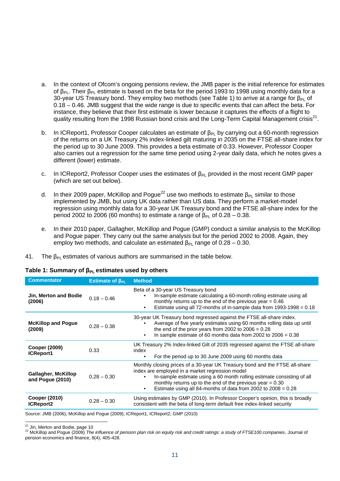- a. In the context of Ofcom's ongoing pensions review, the JMB paper is the initial reference for estimates of β<sub>PL</sub>. Their β<sub>PL</sub> estimate is based on the beta for the period 1993 to 1998 using monthly data for a 30-year US Treasury bond. They employ two methods (see Table 1) to arrive at a range for  $\beta_{PL}$  of 0.18 – 0.46. JMB suggest that the wide range is due to specific events that can affect the beta. For instance, they believe that their first estimate is lower because it captures the effects of a flight to quality resulting from the 1998 Russian bond crisis and the Long-Term Capital Management crisis<sup>21</sup>.
- b. In ICReport1, Professor Cooper calculates an estimate of  $\beta_{PL}$  by carrying out a 60-month regression of the returns on a UK Treasury 2% index-linked gilt maturing in 2035 on the FTSE all-share index for the period up to 30 June 2009. This provides a beta estimate of 0.33. However, Professor Cooper also carries out a regression for the same time period using 2-year daily data, which he notes gives a different (lower) estimate.
- c. In ICReport2, Professor Cooper uses the estimates of  $\beta_{PL}$  provided in the most recent GMP paper (which are set out below).
- d. In their 2009 paper, McKillop and Pogue<sup>22</sup> use two methods to estimate  $\beta_{PL}$  similar to those implemented by JMB, but using UK data rather than US data. They perform a market-model regression using monthly data for a 30-year UK Treasury bond and the FTSE all-share index for the period 2002 to 2006 (60 months) to estimate a range of  $β_{PL}$  of 0.28 – 0.38.
- e. In their 2010 paper, Gallagher, McKillop and Pogue (GMP) conduct a similar analysis to the McKillop and Pogue paper. They carry out the same analysis but for the period 2002 to 2008. Again, they employ two methods, and calculate an estimated  $\beta_{PL}$  range of 0.28 – 0.30.
- 41. The  $\beta_{PI}$  estimates of various authors are summarised in the table below.

| Table 1: Summary of $\beta_{PL}$ estimates used by others |  |  |
|-----------------------------------------------------------|--|--|
|-----------------------------------------------------------|--|--|

| <b>Commentator</b>                             | Estimate of $\beta_{PL}$ | <b>Method</b>                                                                                                                                                                                                                                                                                                                                        |
|------------------------------------------------|--------------------------|------------------------------------------------------------------------------------------------------------------------------------------------------------------------------------------------------------------------------------------------------------------------------------------------------------------------------------------------------|
| Jin, Merton and Bodie<br>(2006)                | $0.18 - 0.46$            | Beta of a 30-year US Treasury bond<br>In-sample estimate calculating a 60-month rolling estimate using all<br>٠<br>monthly returns up to the end of the previous year $= 0.46$<br>Estimate using all 72-months of in-sample data from $1993-1998 = 0.18$<br>٠                                                                                        |
| <b>McKillop and Pogue</b><br>(2009)            | $0.28 - 0.38$            | 30-year UK Treasury bond regressed against the FTSE all-share index.<br>Average of five yearly estimates using 60 months rolling data up until<br>the end of the prior years from 2002 to $2006 = 0.28$<br>In sample estimate of 60 months data from 2002 to $2006 = 0.38$<br>$\bullet$                                                              |
| Cooper (2009)<br>ICReport1                     | 0.33                     | UK Treasury 2% Index-linked Gilt of 2035 regressed against the FTSE all-share<br>index<br>For the period up to 30 June 2009 using 60 months data<br>٠                                                                                                                                                                                                |
| <b>Gallagher, McKillop</b><br>and Pogue (2010) | $0.28 - 0.30$            | Monthly closing prices of a 30-year UK Treasury bond and the FTSE all-share<br>index are employed in a market regression model<br>In-sample estimate using a 60 month rolling estimate consisting of all<br>٠<br>monthly returns up to the end of the previous year $= 0.30$<br>Estimate using all 84-months of data from 2002 to $2008 = 0.28$<br>٠ |
| <b>Cooper (2010)</b><br><b>ICReport2</b>       | $0.28 - 0.30$            | Using estimates by GMP (2010). In Professor Cooper's opinion, this is broadly<br>consistent with the beta of long-term default free index-linked security                                                                                                                                                                                            |

Source: JMB (2006); McKillop and Pogue (2009); ICReport1, ICReport2; GMP (2010)

<sup>21</sup> Jin, Merton and Bodie, page 10<br><sup>22</sup> McKillon and Poque (2009) *The* 

<sup>22</sup> McKillop and Pogue (2009) *The influence of pension plan risk on equity risk and credit ratings: a study of FTSE100 companies*, Journal of pension economics and finance, 8(4), 405-428.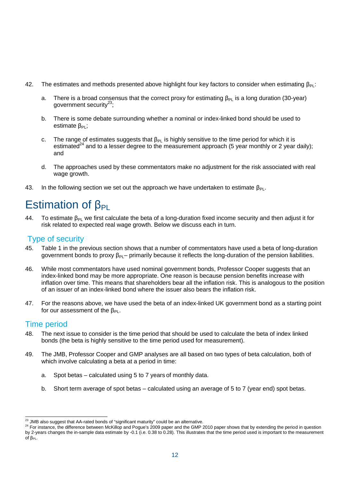- 42. The estimates and methods presented above highlight four key factors to consider when estimating  $\beta_{PL}$ :
	- a. There is a broad consensus that the correct proxy for estimating  $\beta_{Pl}$  is a long duration (30-year) government security $^{23}$ ;
	- b. There is some debate surrounding whether a nominal or index-linked bond should be used to estimate β<sub>PL</sub>:
	- c. The range of estimates suggests that  $\beta_{PL}$  is highly sensitive to the time period for which it is estimated<sup>24</sup> and to a lesser degree to the measurement approach (5 year monthly or 2 year daily); and
	- d. The approaches used by these commentators make no adjustment for the risk associated with real wage growth.
- 43. In the following section we set out the approach we have undertaken to estimate  $\beta_{Pl}$ .

# Estimation of  $\beta_{PI}$

44. To estimate  $\beta_{PI}$  we first calculate the beta of a long-duration fixed income security and then adjust it for risk related to expected real wage growth. Below we discuss each in turn.

## Type of security

- 45. Table 1 in the previous section shows that a number of commentators have used a beta of long-duration government bonds to proxy  $\beta_{PL}$ – primarily because it reflects the long-duration of the pension liabilities.
- 46. While most commentators have used nominal government bonds, Professor Cooper suggests that an index-linked bond may be more appropriate. One reason is because pension benefits increase with inflation over time. This means that shareholders bear all the inflation risk. This is analogous to the position of an issuer of an index-linked bond where the issuer also bears the inflation risk.
- 47. For the reasons above, we have used the beta of an index-linked UK government bond as a starting point for our assessment of the  $\beta_{Pl}$ .

## Time period

- 48. The next issue to consider is the time period that should be used to calculate the beta of index linked bonds (the beta is highly sensitive to the time period used for measurement).
- 49. The JMB, Professor Cooper and GMP analyses are all based on two types of beta calculation, both of which involve calculating a beta at a period in time:
	- a. Spot betas calculated using 5 to 7 years of monthly data.
	- b. Short term average of spot betas calculated using an average of 5 to 7 (year end) spot betas.

 $23$  JMB also suggest that AA-rated bonds of "significant maturity" could be an alternative.

<sup>&</sup>lt;sup>24</sup> For instance, the difference between McKillop and Pogue's 2009 paper and the GMP 2010 paper shows that by extending the period in question by 2-years changes the in-sample data estimate by -0.1 (i.e. 0.38 to 0.28). This illustrates that the time period used is important to the measurement  $of β<sub>PL</sub>$ .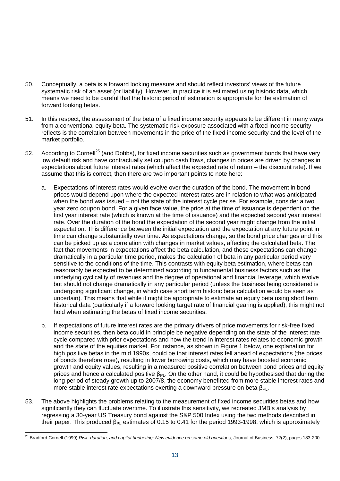- 50. Conceptually, a beta is a forward looking measure and should reflect investors' views of the future systematic risk of an asset (or liability). However, in practice it is estimated using historic data, which means we need to be careful that the historic period of estimation is appropriate for the estimation of forward looking betas.
- 51. In this respect, the assessment of the beta of a fixed income security appears to be different in many ways from a conventional equity beta. The systematic risk exposure associated with a fixed income security reflects is the correlation between movements in the price of the fixed income security and the level of the market portfolio.
- 52. According to Cornell<sup>25</sup> (and Dobbs), for fixed income securities such as government bonds that have very low default risk and have contractually set coupon cash flows, changes in prices are driven by changes in expectations about future interest rates (which affect the expected rate of return – the discount rate). If we assume that this is correct, then there are two important points to note here:
	- a. Expectations of interest rates would evolve over the duration of the bond. The movement in bond prices would depend upon where the expected interest rates are in relation to what was anticipated when the bond was issued – not the state of the interest cycle per se. For example, consider a two year zero coupon bond. For a given face value, the price at the time of issuance is dependent on the first year interest rate (which is known at the time of issuance) and the expected second year interest rate. Over the duration of the bond the expectation of the second year might change from the initial expectation. This difference between the initial expectation and the expectation at any future point in time can change substantially over time. As expectations change, so the bond price changes and this can be picked up as a correlation with changes in market values, affecting the calculated beta. The fact that movements in expectations affect the beta calculation, and these expectations can change dramatically in a particular time period, makes the calculation of beta in any particular period very sensitive to the conditions of the time. This contrasts with equity beta estimation, where betas can reasonably be expected to be determined according to fundamental business factors such as the underlying cyclicality of revenues and the degree of operational and financial leverage, which evolve but should not change dramatically in any particular period (unless the business being considered is undergoing significant change, in which case short term historic beta calculation would be seen as uncertain). This means that while it might be appropriate to estimate an equity beta using short term historical data (particularly if a forward looking target rate of financial gearing is applied), this might not hold when estimating the betas of fixed income securities.
	- b. If expectations of future interest rates are the primary drivers of price movements for risk-free fixed income securities, then beta could in principle be negative depending on the state of the interest rate cycle compared with prior expectations and how the trend in interest rates relates to economic growth and the state of the equities market. For instance, as shown in Figure 1 below, one explanation for high positive betas in the mid 1990s, could be that interest rates fell ahead of expectations (the prices of bonds therefore rose), resulting in lower borrowing costs, which may have boosted economic growth and equity values, resulting in a measured positive correlation between bond prices and equity prices and hence a calculated positive  $\beta_{PL}$ . On the other hand, it could be hypothesised that during the long period of steady growth up to 2007/8, the economy benefitted from more stable interest rates and more stable interest rate expectations exerting a downward pressure on beta  $\beta_{Pl}$ .
- 53. The above highlights the problems relating to the measurement of fixed income securities betas and how significantly they can fluctuate overtime. To illustrate this sensitivity, we recreated JMB's analysis by regressing a 30-year US Treasury bond against the S&P 500 Index using the two methods described in their paper. This produced  $β_{Pl}$  estimates of 0.15 to 0.41 for the period 1993-1998, which is approximately

<sup>25</sup> Bradford Cornell (1999) *Risk, duration, and capital budgeting: New evidence on some old questions*, Journal of Business, 72(2), pages 183-200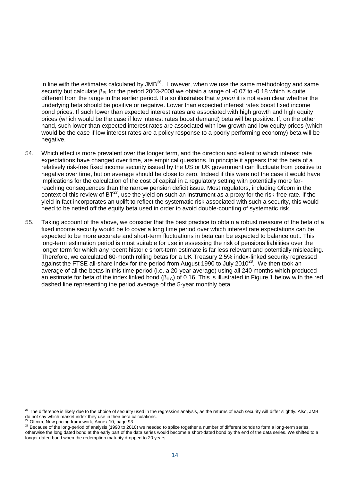in line with the estimates calculated by  $JMB^{26}$ . However, when we use the same methodology and same security but calculate β<sub>PL</sub> for the period 2003-2008 we obtain a range of -0.07 to -0.18 which is quite different from the range in the earlier period. It also illustrates that *a priori* it is not even clear whether the underlying beta should be positive or negative. Lower than expected interest rates boost fixed income bond prices. If such lower than expected interest rates are associated with high growth and high equity prices (which would be the case if low interest rates boost demand) beta will be positive. If, on the other hand, such lower than expected interest rates are associated with low growth and low equity prices (which would be the case if low interest rates are a policy response to a poorly performing economy) beta will be negative.

- 54. Which effect is more prevalent over the longer term, and the direction and extent to which interest rate expectations have changed over time, are empirical questions. In principle it appears that the beta of a relatively risk-free fixed income security issued by the US or UK government can fluctuate from positive to negative over time, but on average should be close to zero. Indeed if this were not the case it would have implications for the calculation of the cost of capital in a regulatory setting with potentially more farreaching consequences than the narrow pension deficit issue. Most regulators, including Ofcom in the context of this review of  $BT^{27}$ , use the yield on such an instrument as a proxy for the risk-free rate. If the yield in fact incorporates an uplift to reflect the systematic risk associated with such a security, this would need to be netted off the equity beta used in order to avoid double-counting of systematic risk.
- 55. Taking account of the above, we consider that the best practice to obtain a robust measure of the beta of a fixed income security would be to cover a long time period over which interest rate expectations can be expected to be more accurate and short-term fluctuations in beta can be expected to balance out.. This long-term estimation period is most suitable for use in assessing the risk of pensions liabilities over the longer term for which any recent historic short-term estimate is far less relevant and potentially misleading. Therefore, we calculated 60-month rolling betas for a UK Treasury 2.5% index-linked security regressed against the FTSE all-share index for the period from August 1990 to July 2010 $^{28}$ . We then took an average of all the betas in this time period (i.e. a 20-year average) using all 240 months which produced an estimate for beta of the index linked bond ( $\beta_{ILG}$ ) of 0.16. This is illustrated in Figure 1 below with the red dashed line representing the period average of the 5-year monthly beta.

The difference is likely due to the choice of security used in the regression analysis, as the returns of each security will differ slightly. Also, JMB do not say which market index they use in their beta calculations.

Ofcom, New pricing framework, Annex 10, page 93

<sup>28</sup> Because of the long-period of analysis (1990 to 2010) we needed to splice together a number of different bonds to form a long-term series,

otherwise the long dated bond at the early part of the data series would become a short-dated bond by the end of the data series. We shifted to a longer dated bond when the redemption maturity dropped to 20 years.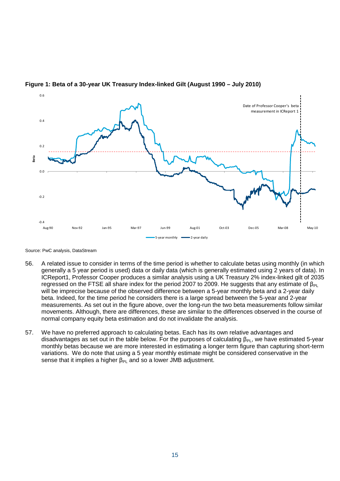

#### **Figure 1: Beta of a 30-year UK Treasury Index-linked Gilt (August 1990 – July 2010)**

Source: PwC analysis, DataStream

- 56. A related issue to consider in terms of the time period is whether to calculate betas using monthly (in which generally a 5 year period is used) data or daily data (which is generally estimated using 2 years of data). In ICReport1, Professor Cooper produces a similar analysis using a UK Treasury 2% index-linked gilt of 2035 regressed on the FTSE all share index for the period 2007 to 2009. He suggests that any estimate of  $β_{PL}$ will be imprecise because of the observed difference between a 5-year monthly beta and a 2-year daily beta. Indeed, for the time period he considers there is a large spread between the 5-year and 2-year measurements. As set out in the figure above, over the long-run the two beta measurements follow similar movements. Although, there are differences, these are similar to the differences observed in the course of normal company equity beta estimation and do not invalidate the analysis.
- 57. We have no preferred approach to calculating betas. Each has its own relative advantages and disadvantages as set out in the table below. For the purposes of calculating  $\beta_{Pl}$ , we have estimated 5-year monthly betas because we are more interested in estimating a longer term figure than capturing short-term variations. We do note that using a 5 year monthly estimate might be considered conservative in the sense that it implies a higher  $\beta_{PL}$  and so a lower JMB adjustment.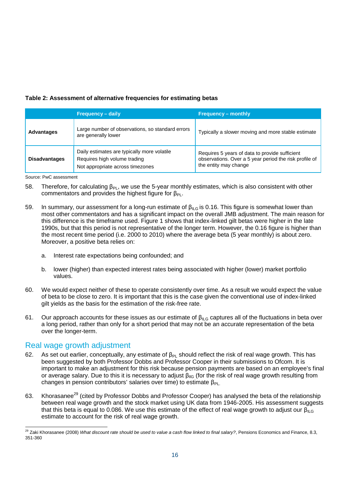### **Table 2: Assessment of alternative frequencies for estimating betas**

|                      | <b>Frequency – daily</b>                                                                                        | <b>Frequency - monthly</b>                                                                                                        |
|----------------------|-----------------------------------------------------------------------------------------------------------------|-----------------------------------------------------------------------------------------------------------------------------------|
| <b>Advantages</b>    | Large number of observations, so standard errors<br>are generally lower                                         | Typically a slower moving and more stable estimate                                                                                |
| <b>Disadvantages</b> | Daily estimates are typically more volatile<br>Requires high volume trading<br>Not appropriate across timezones | Requires 5 years of data to provide sufficient<br>observations. Over a 5 year period the risk profile of<br>the entity may change |

Source: PwC assessment

- 58. Therefore, for calculating β<sub>PL</sub>, we use the 5-year monthly estimates, which is also consistent with other commentators and provides the highest figure for  $\beta_{Pl}$ .
- 59. In summary, our assessment for a long-run estimate of  $\beta_{ILG}$  is 0.16. This figure is somewhat lower than most other commentators and has a significant impact on the overall JMB adjustment. The main reason for this difference is the timeframe used. Figure 1 shows that index-linked gilt betas were higher in the late 1990s, but that this period is not representative of the longer term. However, the 0.16 figure is higher than the most recent time period (i.e. 2000 to 2010) where the average beta (5 year monthly) is about zero. Moreover, a positive beta relies on:
	- a. Interest rate expectations being confounded; and
	- b. lower (higher) than expected interest rates being associated with higher (lower) market portfolio values.
- 60. We would expect neither of these to operate consistently over time. As a result we would expect the value of beta to be close to zero. It is important that this is the case given the conventional use of index-linked gilt yields as the basis for the estimation of the risk-free rate.
- 61. Our approach accounts for these issues as our estimate of  $\beta_{ILG}$  captures all of the fluctuations in beta over a long period, rather than only for a short period that may not be an accurate representation of the beta over the longer-term.

## Real wage growth adjustment

- 62. As set out earlier, conceptually, any estimate of  $\beta_{PL}$  should reflect the risk of real wage growth. This has been suggested by both Professor Dobbs and Professor Cooper in their submissions to Ofcom. It is important to make an adjustment for this risk because pension payments are based on an employee's final or average salary. Due to this it is necessary to adjust  $\beta_{\text{IIG}}$  (for the risk of real wage growth resulting from changes in pension contributors' salaries over time) to estimate  $\beta_{Pl}$ .
- 63. Khorasanee<sup>29</sup> (cited by Professor Dobbs and Professor Cooper) has analysed the beta of the relationship between real wage growth and the stock market using UK data from 1946-2005. His assessment suggests that this beta is equal to 0.086. We use this estimate of the effect of real wage growth to adjust our  $\beta_{\parallel G}$ estimate to account for the risk of real wage growth.

<sup>29</sup> Zaki Khorasanee (2008) *What discount rate should be used to value a cash flow linked to final salary?*, Pensions Economics and Finance, 8.3, 351-360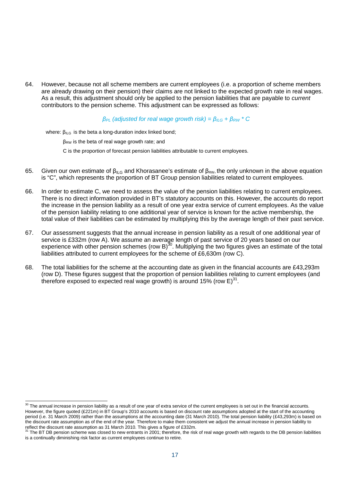64. However, because not all scheme members are current employees (i.e. a proportion of scheme members are already drawing on their pension) their claims are not linked to the expected growth rate in real wages. As a result, this adjustment should only be applied to the pension liabilities that are payable to *current* contributors to the pension scheme. This adjustment can be expressed as follows:

#### *β*<sub>*PL</sub>* (adjusted for real wage growth risk) =  $β$ <sub>*ILG*</sub> +  $β$ <sub>*RW*</sub>  $*$  *C*</sub>

where:  $\beta_{ILG}$  is the beta a long-duration index linked bond;

 $β<sub>RW</sub>$  is the beta of real wage growth rate; and

C is the proportion of forecast pension liabilities attributable to current employees.

- 65. Given our own estimate of  $β_{ILG}$  and Khorasanee's estimate of  $β_{RW}$ , the only unknown in the above equation is "C", which represents the proportion of BT Group pension liabilities related to current employees.
- 66. In order to estimate C, we need to assess the value of the pension liabilities relating to current employees. There is no direct information provided in BT's statutory accounts on this. However, the accounts do report the increase in the pension liability as a result of one year extra service of current employees. As the value of the pension liability relating to one additional year of service is known for the active membership, the total value of their liabilities can be estimated by multiplying this by the average length of their past service.
- 67. Our assessment suggests that the annual increase in pension liability as a result of one additional year of service is £332m (row A). We assume an average length of past service of 20 years based on our experience with other pension schemes (row B)<sup>30</sup>. Multiplying the two figures gives an estimate of the total liabilities attributed to current employees for the scheme of £6,630m (row C).
- 68. The total liabilities for the scheme at the accounting date as given in the financial accounts are £43,293m (row D). These figures suggest that the proportion of pension liabilities relating to current employees (and therefore exposed to expected real wage growth) is around 15% (row E) $^{31}$ .

<sup>&</sup>lt;sup>30</sup> The annual increase in pension liability as a result of one year of extra service of the current employees is set out in the financial accounts. However, the figure quoted (£221m) in BT Group's 2010 accounts is based on discount rate assumptions adopted at the start of the accounting period (i.e. 31 March 2009) rather than the assumptions at the accounting date (31 March 2010). The total pension liability (£43,293m) is based on the discount rate assumption as of the end of the year. Therefore to make them consistent we adjust the annual increase in pension liability to reflect the discount rate assumption as 31 March 2010. This gives a figure of £332m.<br><sup>31</sup> The PT DR screeks until the assumption as 31 March 2010. This gives a figure of £332m.

<sup>31</sup> The BT DB pension scheme was closed to new entrants in 2001; therefore, the risk of real wage growth with regards to the DB pension liabilities is a continually diminishing risk factor as current employees continue to retire.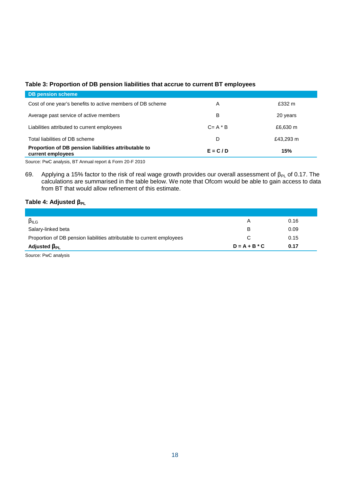## **Table 3: Proportion of DB pension liabilities that accrue to current BT employees**

| <b>DB pension scheme</b>                                                  |             |           |
|---------------------------------------------------------------------------|-------------|-----------|
| Cost of one year's benefits to active members of DB scheme                | A           | £332 m    |
| Average past service of active members                                    | B           | 20 years  |
| Liabilities attributed to current employees                               | $C = A * B$ | £6,630 m  |
| Total liabilities of DB scheme                                            | D           | £43,293 m |
| Proportion of DB pension liabilities attributable to<br>current employees | $E = C/D$   | 15%       |

Source: PwC analysis, BT Annual report & Form 20-F 2010

69. Applying a 15% factor to the risk of real wage growth provides our overall assessment of  $\beta_{PL}$  of 0.17. The calculations are summarised in the table below. We note that Ofcom would be able to gain access to data from BT that would allow refinement of this estimate.

#### **Table 4: Adjusted βPL**

| $\beta$ ILG                                                            | А               | 0.16 |
|------------------------------------------------------------------------|-----------------|------|
| Salary-linked beta                                                     | в               | 0.09 |
| Proportion of DB pension liabilities attributable to current employees |                 | 0.15 |
| Adjusted $\beta_{PL}$                                                  | $D = A + B * C$ | 0.17 |

Source: PwC analysis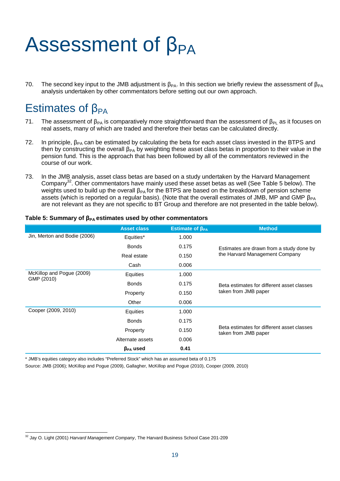# Assessment of  $\beta_{PA}$

70. The second key input to the JMB adjustment is  $\beta_{PA}$ . In this section we briefly review the assessment of  $\beta_{PA}$ analysis undertaken by other commentators before setting out our own approach.

# Estimates of  $\beta_{PA}$

- 71. The assessment of  $\beta_{PA}$  is comparatively more straightforward than the assessment of  $\beta_{PL}$  as it focuses on real assets, many of which are traded and therefore their betas can be calculated directly.
- 72. In principle,  $\beta_{PA}$  can be estimated by calculating the beta for each asset class invested in the BTPS and then by constructing the overall  $\beta_{PA}$  by weighting these asset class betas in proportion to their value in the pension fund. This is the approach that has been followed by all of the commentators reviewed in the course of our work.
- 73. In the JMB analysis, asset class betas are based on a study undertaken by the Harvard Management Company<sup>32</sup>. Other commentators have mainly used these asset betas as well (See Table 5 below). The weights used to build up the overall β<sub>PA</sub> for the BTPS are based on the breakdown of pension scheme assets (which is reported on a regular basis). (Note that the overall estimates of JMB, MP and GMP  $\beta_{PA}$ are not relevant as they are not specific to BT Group and therefore are not presented in the table below).

|                              | <b>Asset class</b> | Estimate of $\beta_{PA}$ | <b>Method</b>                                                      |  |
|------------------------------|--------------------|--------------------------|--------------------------------------------------------------------|--|
| Jin, Merton and Bodie (2006) | Equities*          | 1.000                    |                                                                    |  |
|                              | <b>Bonds</b>       | 0.175                    | Estimates are drawn from a study done by                           |  |
|                              | Real estate        | 0.150                    | the Harvard Management Company                                     |  |
|                              | Cash               | 0.006                    |                                                                    |  |
| McKillop and Pogue (2009)    | Equities           | 1.000                    |                                                                    |  |
| GMP (2010)                   | <b>Bonds</b>       | 0.175                    | Beta estimates for different asset classes<br>taken from JMB paper |  |
|                              | Property           | 0.150                    |                                                                    |  |
|                              | Other              | 0.006                    |                                                                    |  |
| Cooper (2009, 2010)          | Equities           | 1.000                    |                                                                    |  |
|                              | <b>Bonds</b>       | 0.175                    |                                                                    |  |
|                              | Property           | 0.150                    | Beta estimates for different asset classes<br>taken from JMB paper |  |
|                              | Alternate assets   | 0.006                    |                                                                    |  |
|                              | $\beta_{PA}$ used  | 0.41                     |                                                                    |  |

#### **Table 5: Summary of βPA estimates used by other commentators**

\* JMB's equities category also includes "Preferred Stock" which has an assumed beta of 0.175

Source: JMB (2006); McKillop and Pogue (2009), Gallagher, McKillop and Pogue (2010), Cooper (2009, 2010)

<sup>32</sup> Jay O. Light (2001) *Harvard Management Company*, The Harvard Business School Case 201-209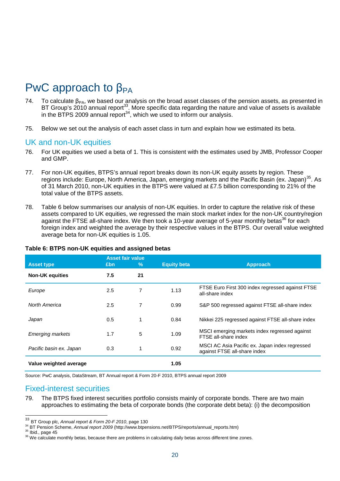# PwC approach to  $β<sub>PA</sub>$

- 74. To calculate  $\beta_{PA}$ , we based our analysis on the broad asset classes of the pension assets, as presented in BT Group's 2010 annual report<sup>33</sup>. More specific data regarding the nature and value of assets is available in the BTPS 2009 annual report $34$ , which we used to inform our analysis.
- 75. Below we set out the analysis of each asset class in turn and explain how we estimated its beta.

### UK and non-UK equities

- 76. For UK equities we used a beta of 1. This is consistent with the estimates used by JMB, Professor Cooper and GMP.
- 77. For non-UK equities, BTPS's annual report breaks down its non-UK equity assets by region. These regions include: Europe, North America, Japan, emerging markets and the Pacific Basin (ex. Japan)<sup>35</sup>. As of 31 March 2010, non-UK equities in the BTPS were valued at £7.5 billion corresponding to 21% of the total value of the BTPS assets.
- 78. Table 6 below summarises our analysis of non-UK equities. In order to capture the relative risk of these assets compared to UK equities, we regressed the main stock market index for the non-UK country/region against the FTSE all-share index. We then took a 10-year average of 5-year monthly betas<sup>36</sup> for each foreign index and weighted the average by their respective values in the BTPS. Our overall value weighted average beta for non-UK equities is 1.05.

|                         |     | <b>Asset fair value</b> |                    |                                                                                |
|-------------------------|-----|-------------------------|--------------------|--------------------------------------------------------------------------------|
| <b>Asset type</b>       | £bn | $\%$                    | <b>Equity beta</b> | <b>Approach</b>                                                                |
| <b>Non-UK equities</b>  | 7.5 | 21                      |                    |                                                                                |
| Europe                  | 2.5 | 7                       | 1.13               | FTSE Euro First 300 index regressed against FTSE<br>all-share index            |
| North America           | 2.5 | 7                       | 0.99               | S&P 500 regressed against FTSE all-share index                                 |
| Japan                   | 0.5 | 1                       | 0.84               | Nikkei 225 regressed against FTSE all-share index                              |
| <b>Emerging markets</b> | 1.7 | 5                       | 1.09               | MSCI emerging markets index regressed against<br>FTSE all-share index          |
| Pacific basin ex. Japan | 0.3 | 1                       | 0.92               | MSCI AC Asia Pacific ex. Japan index regressed<br>against FTSE all-share index |
| Value weighted average  |     |                         | 1.05               |                                                                                |

#### **Table 6: BTPS non-UK equities and assigned betas**

Source: PwC analysis, DataStream, BT Annual report & Form 20-F 2010, BTPS annual report 2009

## Fixed-interest securities

79. The BTPS fixed interest securities portfolio consists mainly of corporate bonds. There are two main approaches to estimating the beta of corporate bonds (the corporate debt beta): (i) the decomposition

<sup>33</sup> BT Group plc, *Annual report & Form 20-F 2010*, page 130

<sup>34</sup> BT Pension Scheme, *Annual report 2009* (http://www.btpensions.net/BTPS/reports/annual\_reports.htm)

 $35$  Ibid., page 45

<sup>&</sup>lt;sup>36</sup> We calculate monthly betas, because there are problems in calculating daily betas across different time zones.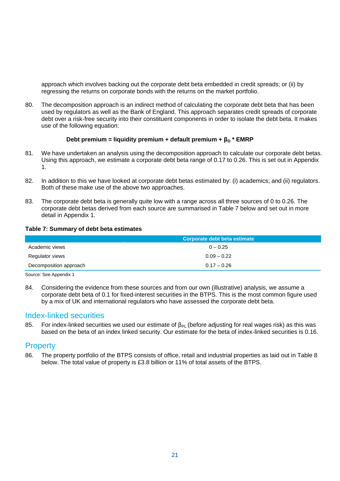approach which involves backing out the corporate debt beta embedded in credit spreads; or (ii) by regressing the returns on corporate bonds with the returns on the market portfolio.

80. The decomposition approach is an indirect method of calculating the corporate debt beta that has been used by regulators as well as the Bank of England. This approach separates credit spreads of corporate debt over a risk-free security into their constituent components in order to isolate the debt beta. It makes use of the following equation:

#### **Debt premium = liquidity premium + default premium +**  $β<sub>D</sub> * EMRP$

- 81. We have undertaken an analysis using the decomposition approach to calculate our corporate debt betas. Using this approach, we estimate a corporate debt beta range of 0.17 to 0.26. This is set out in Appendix 1.
- 82. In addition to this we have looked at corporate debt betas estimated by: (i) academics; and (ii) regulators. Both of these make use of the above two approaches.
- 83. The corporate debt beta is generally quite low with a range across all three sources of 0 to 0.26. The corporate debt betas derived from each source are summarised in Table 7 below and set out in more detail in Appendix 1.

#### **Table 7: Summary of debt beta estimates**

|                        | Corporate debt beta estimate |
|------------------------|------------------------------|
| Academic views         | $0 - 0.25$                   |
| Regulator views        | $0.09 - 0.22$                |
| Decomposition approach | $0.17 - 0.26$                |

Source: See Appendix 1

84. Considering the evidence from these sources and from our own (illustrative) analysis, we assume a corporate debt beta of 0.1 for fixed-interest securities in the BTPS. This is the most common figure used by a mix of UK and international regulators who have assessed the corporate debt beta.

### Index-linked securities

85. For index-linked securities we used our estimate of β<sub>PL</sub> (before adjusting for real wages risk) as this was based on the beta of an index linked security. Our estimate for the beta of index-linked securities is 0.16.

### Property

86. The property portfolio of the BTPS consists of office, retail and industrial properties as laid out in Table 8 below. The total value of property is £3.8 billion or 11% of total assets of the BTPS.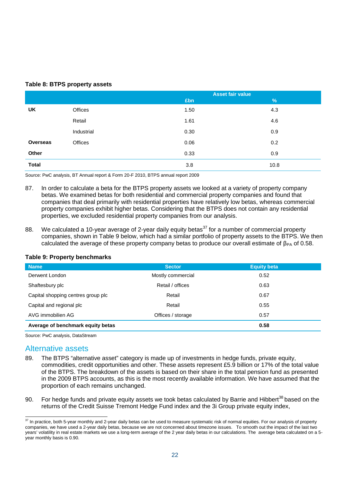#### **Table 8: BTPS property assets**

|                 |            |      | <b>Asset fair value</b> |
|-----------------|------------|------|-------------------------|
|                 |            | £bn  | %                       |
| UK              | Offices    | 1.50 | 4.3                     |
|                 | Retail     | 1.61 | 4.6                     |
|                 | Industrial | 0.30 | 0.9                     |
| <b>Overseas</b> | Offices    | 0.06 | 0.2                     |
| Other           |            | 0.33 | 0.9                     |
| <b>Total</b>    |            | 3.8  | 10.8                    |

Source: PwC analysis, BT Annual report & Form 20-F 2010, BTPS annual report 2009

- 87. In order to calculate a beta for the BTPS property assets we looked at a variety of property company betas. We examined betas for both residential and commercial property companies and found that companies that deal primarily with residential properties have relatively low betas, whereas commercial property companies exhibit higher betas. Considering that the BTPS does not contain any residential properties, we excluded residential property companies from our analysis.
- 88. We calculated a 10-year average of 2-year daily equity betas<sup>37</sup> for a number of commercial property companies, shown in Table 9 below, which had a similar portfolio of property assets to the BTPS. We then calculated the average of these property company betas to produce our overall estimate of  $\beta_{PA}$  of 0.58.

| <b>Name</b>                        | <b>Sector</b>     | <b>Equity beta</b> |
|------------------------------------|-------------------|--------------------|
| Derwent London                     | Mostly commercial | 0.52               |
| Shaftesbury plc                    | Retail / offices  | 0.63               |
| Capital shopping centres group plc | Retail            | 0.67               |
| Capital and regional plc           | Retail            | 0.55               |
| AVG immobilien AG                  | Offices / storage | 0.57               |
| Average of benchmark equity betas  |                   | 0.58               |

#### **Table 9: Property benchmarks**

Source: PwC analysis, DataStream

### Alternative assets

- 89. The BTPS "alternative asset" category is made up of investments in hedge funds, private equity, commodities, credit opportunities and other. These assets represent £5.9 billion or 17% of the total value of the BTPS. The breakdown of the assets is based on their share in the total pension fund as presented in the 2009 BTPS accounts, as this is the most recently available information. We have assumed that the proportion of each remains unchanged.
- 90. For hedge funds and private equity assets we took betas calculated by Barrie and Hibbert<sup>38</sup> based on the returns of the Credit Suisse Tremont Hedge Fund index and the 3i Group private equity index,

<sup>&</sup>lt;sup>37</sup> In practice, both 5-year monthly and 2-year daily betas can be used to measure systematic risk of normal equities. For our analysis of property companies, we have used a 2-year daily betas, because we are not concerned about timezone issues. To smooth out the impact of the last two years' volatility in real estate markets we use a long-term average of the 2 year daily betas in our calculations. The average beta calculated on a 5 year monthly basis is 0.90.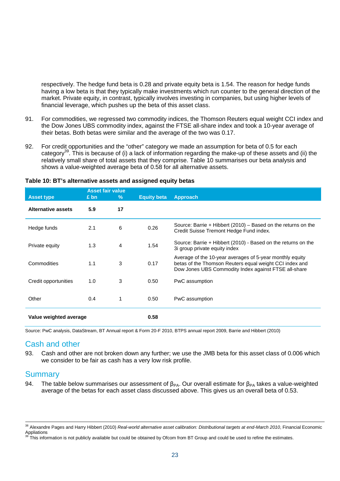respectively. The hedge fund beta is 0.28 and private equity beta is 1.54. The reason for hedge funds having a low beta is that they typically make investments which run counter to the general direction of the market. Private equity, in contrast, typically involves investing in companies, but using higher levels of financial leverage, which pushes up the beta of this asset class.

- 91. For commodities, we regressed two commodity indices, the Thomson Reuters equal weight CCI index and the Dow Jones UBS commodity index, against the FTSE all-share index and took a 10-year average of their betas. Both betas were similar and the average of the two was 0.17.
- 92. For credit opportunities and the "other" category we made an assumption for beta of 0.5 for each category<sup>39</sup>. This is because of (i) a lack of information regarding the make-up of these assets and (ii) the relatively small share of total assets that they comprise. Table 10 summarises our beta analysis and shows a value-weighted average beta of 0.58 for all alternative assets.

|                           | <b>Asset fair value</b> |    |                    |                                                                                                                                                                             |
|---------------------------|-------------------------|----|--------------------|-----------------------------------------------------------------------------------------------------------------------------------------------------------------------------|
| <b>Asset type</b>         | $£$ bn                  | %  | <b>Equity beta</b> | <b>Approach</b>                                                                                                                                                             |
| <b>Alternative assets</b> | 5.9                     | 17 |                    |                                                                                                                                                                             |
| Hedge funds               | 2.1                     | 6  | 0.26               | Source: Barrie + Hibbert (2010) – Based on the returns on the<br>Credit Suisse Tremont Hedge Fund index.                                                                    |
| Private equity            | 1.3                     | 4  | 1.54               | Source: Barrie + Hibbert (2010) - Based on the returns on the<br>3i group private equity index                                                                              |
| Commodities               | 1.1                     | 3  | 0.17               | Average of the 10-year averages of 5-year monthly equity<br>betas of the Thomson Reuters equal weight CCI index and<br>Dow Jones UBS Commodity Index against FTSE all-share |
| Credit opportunities      | 1.0                     | 3  | 0.50               | PwC assumption                                                                                                                                                              |
| Other                     | 0.4                     |    | 0.50               | PwC assumption                                                                                                                                                              |
| Value weighted average    |                         |    | 0.58               |                                                                                                                                                                             |

#### **Table 10: BT's alternative assets and assigned equity betas**

Source: PwC analysis, DataStream, BT Annual report & Form 20-F 2010, BTPS annual report 2009, Barrie and Hibbert (2010)

## Cash and other

93. Cash and other are not broken down any further; we use the JMB beta for this asset class of 0.006 which we consider to be fair as cash has a very low risk profile.

## **Summary**

94. The table below summarises our assessment of  $\beta_{PA}$ . Our overall estimate for  $\beta_{PA}$  takes a value-weighted average of the betas for each asset class discussed above. This gives us an overall beta of 0.53.

<sup>38</sup> Alexandre Pages and Harry Hibbert (2010) *Real-world alternative asset calibration: Distributional targets at end-March 2010*, Financial Economic Appliations

This information is not publicly available but could be obtained by Ofcom from BT Group and could be used to refine the estimates.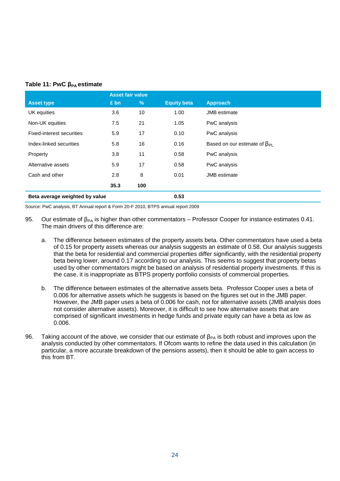#### **Table 11: PwC βPA estimate**

|                                  | <b>Asset fair value</b> |      |                    |                                       |
|----------------------------------|-------------------------|------|--------------------|---------------------------------------|
| <b>Asset type</b>                | $£$ bn                  | $\%$ | <b>Equity beta</b> | <b>Approach</b>                       |
| UK equities                      | 3.6                     | 10   | 1.00               | <b>JMB</b> estimate                   |
| Non-UK equities                  | 7.5                     | 21   | 1.05               | PwC analysis                          |
| <b>Fixed-interest securities</b> | 5.9                     | 17   | 0.10               | PwC analysis                          |
| Index-linked securities          | 5.8                     | 16   | 0.16               | Based on our estimate of $\beta_{PL}$ |
| Property                         | 3.8                     | 11   | 0.58               | PwC analysis                          |
| Alternative assets               | 5.9                     | 17   | 0.58               | PwC analysis                          |
| Cash and other                   | 2.8                     | 8    | 0.01               | <b>JMB</b> estimate                   |
|                                  | 35.3                    | 100  |                    |                                       |
| Beta average weighted by value   |                         |      | 0.53               |                                       |

Source: PwC analysis, BT Annual report & Form 20-F 2010, BTPS annual report 2009

- 95. Our estimate of  $\beta_{PA}$  is higher than other commentators Professor Cooper for instance estimates 0.41. The main drivers of this difference are:
	- a. The difference between estimates of the property assets beta. Other commentators have used a beta of 0.15 for property assets whereas our analysis suggests an estimate of 0.58. Our analysis suggests that the beta for residential and commercial properties differ significantly, with the residential property beta being lower, around 0.17 according to our analysis. This seems to suggest that property betas used by other commentators might be based on analysis of residential property investments. If this is the case, it is inappropriate as BTPS property portfolio consists of commercial properties.
	- b. The difference between estimates of the alternative assets beta. Professor Cooper uses a beta of 0.006 for alternative assets which he suggests is based on the figures set out in the JMB paper. However, the JMB paper uses a beta of 0.006 for cash, not for alternative assets (JMB analysis does not consider alternative assets). Moreover, it is difficult to see how alternative assets that are comprised of significant investments in hedge funds and private equity can have a beta as low as 0.006.
- 96. Taking account of the above, we consider that our estimate of  $\beta_{PA}$  is both robust and improves upon the analysis conducted by other commentators. If Ofcom wants to refine the data used in this calculation (in particular, a more accurate breakdown of the pensions assets), then it should be able to gain access to this from BT.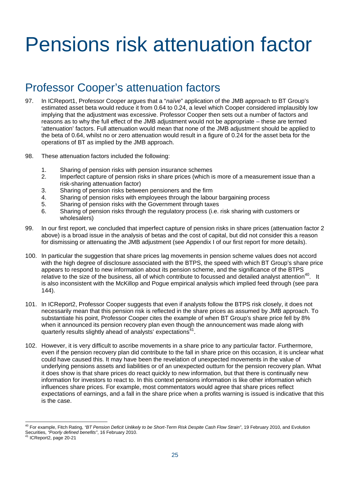# Pensions risk attenuation factor

# Professor Cooper's attenuation factors

- 97. In ICReport1, Professor Cooper argues that a "*naïve*" application of the JMB approach to BT Group's estimated asset beta would reduce it from 0.64 to 0.24, a level which Cooper considered implausibly low implying that the adjustment was excessive. Professor Cooper then sets out a number of factors and reasons as to why the full effect of the JMB adjustment would not be appropriate – these are termed 'attenuation' factors. Full attenuation would mean that none of the JMB adjustment should be applied to the beta of 0.64, whilst no or zero attenuation would result in a figure of 0.24 for the asset beta for the operations of BT as implied by the JMB approach.
- 98. These attenuation factors included the following:
	- 1. Sharing of pension risks with pension insurance schemes
	- 2. Imperfect capture of pension risks in share prices (which is more of a measurement issue than a risk-sharing attenuation factor)
	- 3. Sharing of pension risks between pensioners and the firm
	- 4. Sharing of pension risks with employees through the labour bargaining process
	- 5. Sharing of pension risks with the Government through taxes
	- 6. Sharing of pension risks through the regulatory process (i.e. risk sharing with customers or wholesalers)
- 99. In our first report, we concluded that imperfect capture of pension risks in share prices (attenuation factor 2 above) is a broad issue in the analysis of betas and the cost of capital, but did not consider this a reason for dismissing or attenuating the JMB adjustment (see Appendix I of our first report for more details).
- 100. In particular the suggestion that share prices lag movements in pension scheme values does not accord with the high degree of disclosure associated with the BTPS, the speed with which BT Group's share price appears to respond to new information about its pension scheme, and the significance of the BTPS relative to the size of the business, all of which contribute to focussed and detailed analyst attention<sup>40</sup>. It is also inconsistent with the McKillop and Pogue empirical analysis which implied feed through (see para 144).
- 101. In ICReport2, Professor Cooper suggests that even if analysts follow the BTPS risk closely, it does not necessarily mean that this pension risk is reflected in the share prices as assumed by JMB approach. To substantiate his point, Professor Cooper cites the example of when BT Group's share price fell by 8% when it announced its pension recovery plan even though the announcement was made along with quarterly results slightly ahead of analysts' expectations<sup>41</sup>.
- 102. However, it is very difficult to ascribe movements in a share price to any particular factor. Furthermore, even if the pension recovery plan did contribute to the fall in share price on this occasion, it is unclear what could have caused this. It may have been the revelation of unexpected movements in the value of underlying pensions assets and liabilities or of an unexpected outturn for the pension recovery plan. What it does show is that share prices do react quickly to new information, but that there is continually new information for investors to react to. In this context pensions information is like other information which influences share prices. For example, most commentators would agree that share prices reflect expectations of earnings, and a fall in the share price when a profits warning is issued is indicative that this is the case.

<sup>40</sup> For example, Fitch Rating, *"BT Pension Deficit Unlikely to be Short-Term Risk Despite Cash Flow Strain"*, 19 February 2010, and Evolution Securities, *"Poorly defined benefits"*, 16 February 2010.

ICReport2, page 20-21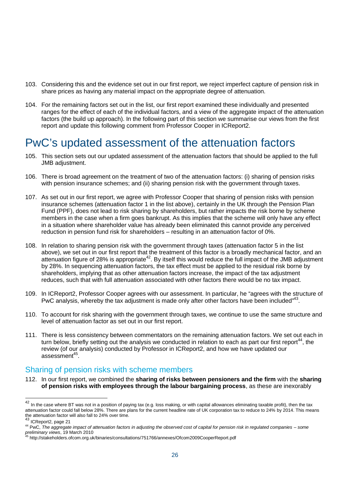- 103. Considering this and the evidence set out in our first report, we reject imperfect capture of pension risk in share prices as having any material impact on the appropriate degree of attenuation.
- 104. For the remaining factors set out in the list, our first report examined these individually and presented ranges for the effect of each of the individual factors, and a view of the aggregate impact of the attenuation factors (the build up approach). In the following part of this section we summarise our views from the first report and update this following comment from Professor Cooper in ICReport2.

# PwC's updated assessment of the attenuation factors

- 105. This section sets out our updated assessment of the attenuation factors that should be applied to the full JMB adjustment.
- 106. There is broad agreement on the treatment of two of the attenuation factors: (i) sharing of pension risks with pension insurance schemes; and (ii) sharing pension risk with the government through taxes.
- 107. As set out in our first report, we agree with Professor Cooper that sharing of pension risks with pension insurance schemes (attenuation factor 1 in the list above), certainly in the UK through the Pension Plan Fund (PPF), does not lead to risk sharing by shareholders, but rather impacts the risk borne by scheme members in the case when a firm goes bankrupt. As this implies that the scheme will only have any effect in a situation where shareholder value has already been eliminated this cannot provide any perceived reduction in pension fund risk for shareholders – resulting in an attenuation factor of 0%.
- 108. In relation to sharing pension risk with the government through taxes (attenuation factor 5 in the list above), we set out in our first report that the treatment of this factor is a broadly mechanical factor, and an attenuation figure of 28% is appropriate<sup>42</sup>. By itself this would reduce the full impact of the JMB adjustment by 28%. In sequencing attenuation factors, the tax effect must be applied to the residual risk borne by shareholders, implying that as other attenuation factors increase, the impact of the tax adjustment reduces, such that with full attenuation associated with other factors there would be no tax impact.
- 109. In ICReport2, Professor Cooper agrees with our assessment. In particular, he "agrees with the structure of PwC analysis, whereby the tax adjustment is made only after other factors have been included"<sup>43</sup>.
- 110. To account for risk sharing with the government through taxes, we continue to use the same structure and level of attenuation factor as set out in our first report.
- 111. There is less consistency between commentators on the remaining attenuation factors. We set out each in turn below, briefly setting out the analysis we conducted in relation to each as part our first report<sup>44</sup>, the review (of our analysis) conducted by Professor in ICReport2, and how we have updated our assessment<sup>45</sup>.

## Sharing of pension risks with scheme members

112. In our first report, we combined the **sharing of risks between pensioners and the firm** with the **sharing of pension risks with employees through the labour bargaining process**, as these are inexorably

<sup>&</sup>lt;sup>42</sup> In the case where BT was not in a position of paying tax (e.g. loss making, or with capital allowances eliminating taxable profit), then the tax attenuation factor could fall below 28%. There are plans for the current headline rate of UK corporation tax to reduce to 24% by 2014. This means the attenuation factor will also fall to 24% over time.

<sup>43</sup> ICReport2, page 21

<sup>44</sup> PwC, *The aggregate impact of attenuation factors in adjusting the observed cost of capital for pension risk in regulated companies – some preliminary views*, 19 March 2010

<sup>45</sup> http://stakeholders.ofcom.org.uk/binaries/consultations/751766/annexes/Ofcom2009CooperReport.pdf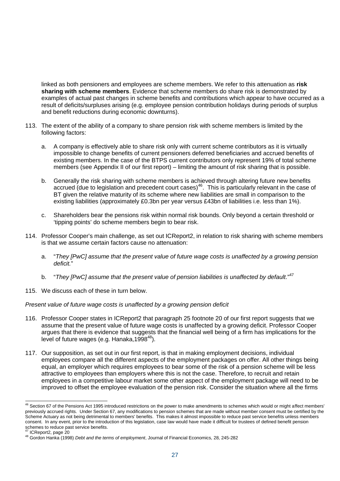linked as both pensioners and employees are scheme members. We refer to this attenuation as **risk sharing with scheme members**. Evidence that scheme members do share risk is demonstrated by examples of actual past changes in scheme benefits and contributions which appear to have occurred as a result of deficits/surpluses arising (e.g. employee pension contribution holidays during periods of surplus and benefit reductions during economic downturns).

- 113. The extent of the ability of a company to share pension risk with scheme members is limited by the following factors:
	- a. A company is effectively able to share risk only with current scheme contributors as it is virtually impossible to change benefits of current pensioners deferred beneficiaries and accrued benefits of existing members. In the case of the BTPS current contributors only represent 19% of total scheme members (see Appendix II of our first report) – limiting the amount of risk sharing that is possible.
	- b. Generally the risk sharing with scheme members is achieved through altering future new benefits accrued (due to legislation and precedent court cases)<sup>46</sup>. This is particularly relevant in the case of BT given the relative maturity of its scheme where new liabilities are small in comparison to the existing liabilities (approximately £0.3bn per year versus £43bn of liabilities i.e. less than 1%).
	- c. Shareholders bear the pensions risk within normal risk bounds. Only beyond a certain threshold or 'tipping points' do scheme members begin to bear risk.
- 114. Professor Cooper's main challenge, as set out ICReport2, in relation to risk sharing with scheme members is that we assume certain factors cause no attenuation:
	- a. "*They [PwC] assume that the present value of future wage costs is unaffected by a growing pension deficit.*"
	- b. "*They [PwC] assume that the present value of pension liabilities is unaffected by default.*" 47
- 115. We discuss each of these in turn below.

#### *Present value of future wage costs is unaffected by a growing pension deficit*

- 116. Professor Cooper states in ICReport2 that paragraph 25 footnote 20 of our first report suggests that we assume that the present value of future wage costs is unaffected by a growing deficit. Professor Cooper argues that there is evidence that suggests that the financial well being of a firm has implications for the level of future wages (e.g. Hanaka,  $1998^{48}$ ).
- 117. Our supposition, as set out in our first report, is that in making employment decisions, individual employees compare all the different aspects of the employment packages on offer. All other things being equal, an employer which requires employees to bear some of the risk of a pension scheme will be less attractive to employees than employers where this is not the case. Therefore, to recruit and retain employees in a competitive labour market some other aspect of the employment package will need to be improved to offset the employee evaluation of the pension risk. Consider the situation where all the firms

<sup>&</sup>lt;sup>46</sup> Section 67 of the Pensions Act 1995 introduced restrictions on the power to make amendments to schemes which would or might affect members' previously accrued rights. Under Section 67, any modifications to pension schemes that are made without member consent must be certified by the Scheme Actuary as not being detrimental to members' benefits. This makes it almost impossible to reduce past service benefits unless members consent. In any event, prior to the introduction of this legislation, case law would have made it difficult for trustees of defined benefit pension schemes to reduce past service benefits.

ICReport2, page 20

<sup>48</sup> Gordon Hanka (1998) *Debt and the terms of employment*, Journal of Financial Economics, 28, 245-282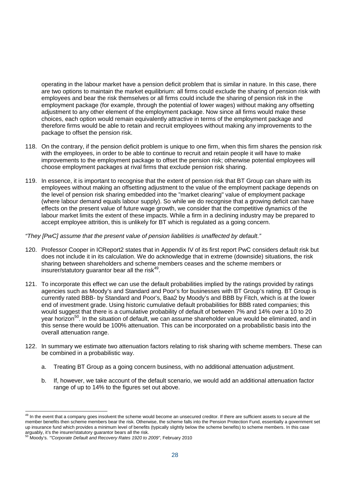operating in the labour market have a pension deficit problem that is similar in nature. In this case, there are two options to maintain the market equilibrium: all firms could exclude the sharing of pension risk with employees and bear the risk themselves or all firms could include the sharing of pension risk in the employment package (for example, through the potential of lower wages) without making any offsetting adjustment to any other element of the employment package. Now since all firms would make these choices, each option would remain equivalently attractive in terms of the employment package and therefore firms would be able to retain and recruit employees without making any improvements to the package to offset the pension risk.

- 118. On the contrary, if the pension deficit problem is unique to one firm, when this firm shares the pension risk with the employees, in order to be able to continue to recruit and retain people it will have to make improvements to the employment package to offset the pension risk; otherwise potential employees will choose employment packages at rival firms that exclude pension risk sharing.
- 119. In essence, it is important to recognise that the extent of pension risk that BT Group can share with its employees without making an offsetting adjustment to the value of the employment package depends on the level of pension risk sharing embedded into the "market clearing" value of employment package (where labour demand equals labour supply). So while we do recognise that a growing deficit can have effects on the present value of future wage growth, we consider that the competitive dynamics of the labour market limits the extent of these impacts. While a firm in a declining industry may be prepared to accept employee attrition, this is unlikely for BT which is regulated as a going concern.

#### *"They [PwC] assume that the present value of pension liabilities is unaffected by default."*

- 120. Professor Cooper in ICReport2 states that in Appendix IV of its first report PwC considers default risk but does not include it in its calculation. We do acknowledge that in extreme (downside) situations, the risk sharing between shareholders and scheme members ceases and the scheme members or insurer/statutory guarantor bear all the risk<sup>49</sup>.
- 121. To incorporate this effect we can use the default probabilities implied by the ratings provided by ratings agencies such as Moody's and Standard and Poor's for businesses with BT Group's rating. BT Group is currently rated BBB- by Standard and Poor's, Baa2 by Moody's and BBB by Fitch, which is at the lower end of investment grade. Using historic cumulative default probabilities for BBB rated companies; this would suggest that there is a cumulative probability of default of between 7% and 14% over a 10 to 20 year horizon<sup>50</sup>. In the situation of default, we can assume shareholder value would be eliminated, and in this sense there would be 100% attenuation. This can be incorporated on a probabilistic basis into the overall attenuation range.
- 122. In summary we estimate two attenuation factors relating to risk sharing with scheme members. These can be combined in a probabilistic way.
	- a. Treating BT Group as a going concern business, with no additional attenuation adjustment.
	- b. If, however, we take account of the default scenario, we would add an additional attenuation factor range of up to 14% to the figures set out above.

In the event that a company goes insolvent the scheme would become an unsecured creditor. If there are sufficient assets to secure all the member benefits then scheme members bear the risk. Otherwise, the scheme falls into the Pension Protection Fund, essentially a government set up insurance fund which provides a minimum level of benefits (typically slightly below the scheme benefits) to scheme members. In this case arguably, it's the insurer/statutory guarantor bears all the risk.

<sup>50</sup> Moody's. *'"Corporate Default and Recovery Rates 1920 to 2009"*, February 2010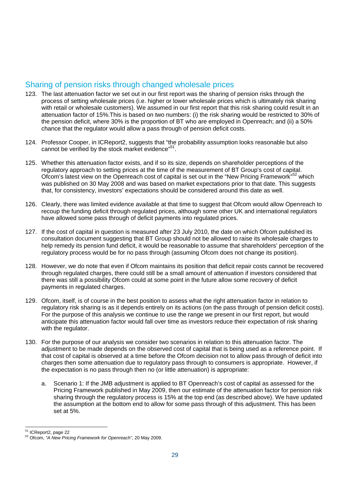## Sharing of pension risks through changed wholesale prices

- 123. The last attenuation factor we set out in our first report was the sharing of pension risks through the process of setting wholesale prices (i.e. higher or lower wholesale prices which is ultimately risk sharing with retail or wholesale customers). We assumed in our first report that this risk sharing could result in an attenuation factor of 15%.This is based on two numbers: (i) the risk sharing would be restricted to 30% of the pension deficit, where 30% is the proportion of BT who are employed in Openreach; and (ii) a 50% chance that the regulator would allow a pass through of pension deficit costs.
- 124. Professor Cooper, in ICReport2, suggests that "the probability assumption looks reasonable but also cannot be verified by the stock market evidence"<sup>51</sup>.
- 125. Whether this attenuation factor exists, and if so its size, depends on shareholder perceptions of the regulatory approach to setting prices at the time of the measurement of BT Group's cost of capital. Ofcom's latest view on the Openreach cost of capital is set out in the "New Pricing Framework"<sup>52</sup> which was published on 30 May 2008 and was based on market expectations prior to that date. This suggests that, for consistency, investors' expectations should be considered around this date as well.
- 126. Clearly, there was limited evidence available at that time to suggest that Ofcom would allow Openreach to recoup the funding deficit through regulated prices, although some other UK and international regulators have allowed some pass through of deficit payments into regulated prices.
- 127. If the cost of capital in question is measured after 23 July 2010, the date on which Ofcom published its consultation document suggesting that BT Group should not be allowed to raise its wholesale charges to help remedy its pension fund deficit, it would be reasonable to assume that shareholders' perception of the regulatory process would be for no pass through (assuming Ofcom does not change its position).
- 128. However, we do note that even if Ofcom maintains its position that deficit repair costs cannot be recovered through regulated charges, there could still be a small amount of attenuation if investors considered that there was still a possibility Ofcom could at some point in the future allow some recovery of deficit payments in regulated charges.
- 129. Ofcom, itself, is of course in the best position to assess what the right attenuation factor in relation to regulatory risk sharing is as it depends entirely on its actions (on the pass through of pension deficit costs). For the purpose of this analysis we continue to use the range we present in our first report, but would anticipate this attenuation factor would fall over time as investors reduce their expectation of risk sharing with the regulator.
- 130. For the purpose of our analysis we consider two scenarios in relation to this attenuation factor. The adjustment to be made depends on the observed cost of capital that is being used as a reference point. If that cost of capital is observed at a time before the Ofcom decision not to allow pass through of deficit into charges then some attenuation due to regulatory pass through to consumers is appropriate. However, if the expectation is no pass through then no (or little attenuation) is appropriate:
	- a. Scenario 1: If the JMB adjustment is applied to BT Openreach's cost of capital as assessed for the Pricing Framework published in May 2009, then our estimate of the attenuation factor for pension risk sharing through the regulatory process is 15% at the top end (as described above). We have updated the assumption at the bottom end to allow for some pass through of this adjustment. This has been set at 5%.

<sup>51</sup> ICReport2, page 22

<sup>52</sup> Ofcom, *"A New Pricing Framework for Openreach"*, 20 May 2009.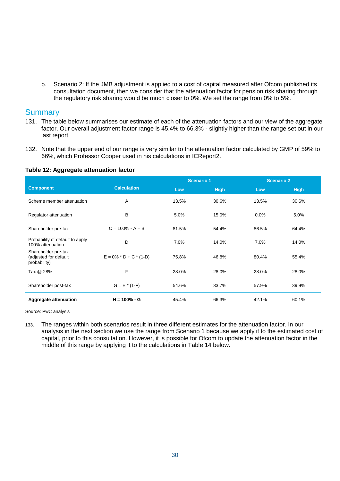b. Scenario 2: If the JMB adjustment is applied to a cost of capital measured after Ofcom published its consultation document, then we consider that the attenuation factor for pension risk sharing through the regulatory risk sharing would be much closer to 0%. We set the range from 0% to 5%.

### **Summary**

- 131. The table below summarises our estimate of each of the attenuation factors and our view of the aggregate factor. Our overall adjustment factor range is 45.4% to 66.3% - slightly higher than the range set out in our last report.
- 132. Note that the upper end of our range is very similar to the attenuation factor calculated by GMP of 59% to 66%, which Professor Cooper used in his calculations in ICReport2.

#### **Table 12: Aggregate attenuation factor**

|                                                              |                           | <b>Scenario 1</b> |             | <b>Scenario 2</b> |             |
|--------------------------------------------------------------|---------------------------|-------------------|-------------|-------------------|-------------|
| <b>Component</b>                                             | <b>Calculation</b>        | Low               | <b>High</b> | Low               | <b>High</b> |
| Scheme member attenuation                                    | A                         | 13.5%             | 30.6%       | 13.5%             | 30.6%       |
| Regulator attenuation                                        | B                         | 5.0%              | 15.0%       | 0.0%              | 5.0%        |
| Shareholder pre-tax                                          | $C = 100\% - A - B$       | 81.5%             | 54.4%       | 86.5%             | 64.4%       |
| Probability of default to apply<br>100% attenuation          | D                         | 7.0%              | 14.0%       | 7.0%              | 14.0%       |
| Shareholder pre-tax<br>(adjusted for default<br>probability) | $E = 0\% * D + C * (1-D)$ | 75.8%             | 46.8%       | 80.4%             | 55.4%       |
| Tax @ 28%                                                    | F                         | 28.0%             | 28.0%       | 28.0%             | 28.0%       |
| Shareholder post-tax                                         | $G = E * (1-F)$           | 54.6%             | 33.7%       | 57.9%             | 39.9%       |
| <b>Aggregate attenuation</b>                                 | $H = 100\% - G$           | 45.4%             | 66.3%       | 42.1%             | 60.1%       |

Source: PwC analysis

133. The ranges within both scenarios result in three different estimates for the attenuation factor. In our analysis in the next section we use the range from Scenario 1 because we apply it to the estimated cost of capital, prior to this consultation. However, it is possible for Ofcom to update the attenuation factor in the middle of this range by applying it to the calculations in Table 14 below.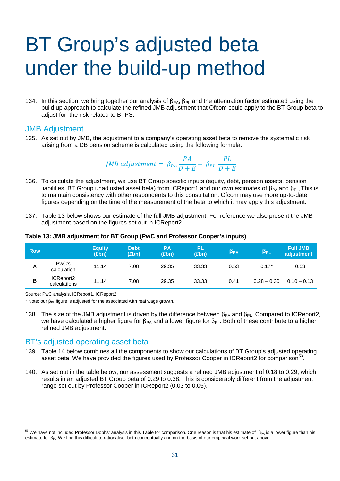# BT Group's adjusted beta under the build-up method

134. In this section, we bring together our analysis of  $\beta_{PA}$ ,  $\beta_{PL}$  and the attenuation factor estimated using the build up approach to calculate the refined JMB adjustment that Ofcom could apply to the BT Group beta to adjust for the risk related to BTPS.

## JMB Adjustment

135. As set out by JMB, the adjustment to a company's operating asset beta to remove the systematic risk arising from a DB pension scheme is calculated using the following formula:

JMB adjustment = 
$$
\beta_{PA} \frac{PA}{D+E} - \beta_{PL} \frac{PL}{D+E}
$$

- 136. To calculate the adjustment, we use BT Group specific inputs (equity, debt, pension assets, pension liabilities, BT Group unadjusted asset beta) from ICReport1 and our own estimates of  $β_{PA}$  and  $β_{PI}$ . This is to maintain consistency with other respondents to this consultation. Ofcom may use more up-to-date figures depending on the time of the measurement of the beta to which it may apply this adjustment.
- 137. Table 13 below shows our estimate of the full JMB adjustment. For reference we also present the JMB adjustment based on the figures set out in ICReport2.

#### **Table 13: JMB adjustment for BT Group (PwC and Professor Cooper's inputs)**

| <b>Row</b> |                           | <b>Equity</b><br>(Ebn) | <b>Debt</b><br>(£bn) | <b>PA</b><br>(£bn) | <b>PL</b><br>(£bn) | $\beta_{\mathsf{PA}}$ | $\beta_{PL}$  | <b>Full JMB</b><br>adjustment |
|------------|---------------------------|------------------------|----------------------|--------------------|--------------------|-----------------------|---------------|-------------------------------|
| Α          | PwC's<br>calculation      | 11.14                  | 7.08                 | 29.35              | 33.33              | 0.53                  | $0.17*$       | 0.53                          |
| B          | ICReport2<br>calculations | 11.14                  | 7.08                 | 29.35              | 33.33              | 0.41                  | $0.28 - 0.30$ | $0.10 - 0.13$                 |

Source: PwC analysis, ICReport1, ICReport2

\* Note: our  $\beta_{PL}$  figure is adjusted for the associated with real wage growth.

138. The size of the JMB adjustment is driven by the difference between  $\beta_{PA}$  and  $\beta_{PI}$ . Compared to ICReport2, we have calculated a higher figure for  $β_{PA}$  and a lower figure for  $β_{PL}$ . Both of these contribute to a higher refined JMB adjustment.

### BT's adjusted operating asset beta

- 139. Table 14 below combines all the components to show our calculations of BT Group's adjusted operating asset beta. We have provided the figures used by Professor Cooper in ICReport2 for comparison<sup>53</sup>.
- 140. As set out in the table below, our assessment suggests a refined JMB adjustment of 0.18 to 0.29, which results in an adjusted BT Group beta of 0.29 to 0.38. This is considerably different from the adjustment range set out by Professor Cooper in ICReport2 (0.03 to 0.05).

 $53$  We have not included Professor Dobbs' analysis in this Table for comparison. One reason is that his estimate of  $β_{PA}$  is a lower figure than his estimate for β<sub>PL</sub>. We find this difficult to rationalise, both conceptually and on the basis of our empirical work set out above.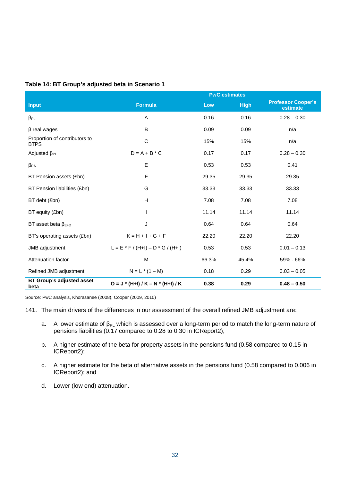|  | Table 14: BT Group's adjusted beta in Scenario 1 |  |
|--|--------------------------------------------------|--|
|  |                                                  |  |

|                                              | <b>PwC</b> estimates                    |       |             |                                       |  |  |  |
|----------------------------------------------|-----------------------------------------|-------|-------------|---------------------------------------|--|--|--|
| <b>Input</b>                                 | <b>Formula</b>                          | Low   | <b>High</b> | <b>Professor Cooper's</b><br>estimate |  |  |  |
| $\beta_{PL}$                                 | A                                       | 0.16  | 0.16        | $0.28 - 0.30$                         |  |  |  |
| $\beta$ real wages                           | B                                       | 0.09  | 0.09        | n/a                                   |  |  |  |
| Proportion of contributors to<br><b>BTPS</b> | $\mathsf{C}$                            | 15%   | 15%         | n/a                                   |  |  |  |
| Adjusted $\beta_{PL}$                        | $D = A + B * C$                         | 0.17  | 0.17        | $0.28 - 0.30$                         |  |  |  |
| $\beta_{\text{PA}}$                          | E                                       | 0.53  | 0.53        | 0.41                                  |  |  |  |
| BT Pension assets (£bn)                      | F                                       | 29.35 | 29.35       | 29.35                                 |  |  |  |
| BT Pension liabilities (£bn)                 | G                                       | 33.33 | 33.33       | 33.33                                 |  |  |  |
| BT debt (£bn)                                | H                                       | 7.08  | 7.08        | 7.08                                  |  |  |  |
| BT equity (£bn)                              | $\overline{\phantom{a}}$                | 11.14 | 11.14       | 11.14                                 |  |  |  |
| BT asset beta $\beta_{E+D}$                  | J                                       | 0.64  | 0.64        | 0.64                                  |  |  |  |
| BT's operating assets (£bn)                  | $K = H + I + G + F$                     | 22.20 | 22.20       | 22.20                                 |  |  |  |
| JMB adjustment                               | $L = E * F / (H + I) - D * G / (H + I)$ | 0.53  | 0.53        | $0.01 - 0.13$                         |  |  |  |
| Attenuation factor                           | M                                       | 66.3% | 45.4%       | 59% - 66%                             |  |  |  |
| Refined JMB adjustment                       | $N = L * (1 - M)$                       | 0.18  | 0.29        | $0.03 - 0.05$                         |  |  |  |
| <b>BT Group's adjusted asset</b><br>beta     | $O = J * (H+I) / K - N * (H+I) / K$     | 0.38  | 0.29        | $0.48 - 0.50$                         |  |  |  |

Source: PwC analysis, Khorasanee (2008), Cooper (2009, 2010)

- 141. The main drivers of the differences in our assessment of the overall refined JMB adjustment are:
	- a. A lower estimate of  $\beta_{PL}$  which is assessed over a long-term period to match the long-term nature of pensions liabilities (0.17 compared to 0.28 to 0.30 in ICReport2);
	- b. A higher estimate of the beta for property assets in the pensions fund (0.58 compared to 0.15 in ICReport2);
	- c. A higher estimate for the beta of alternative assets in the pensions fund (0.58 compared to 0.006 in ICReport2); and
	- d. Lower (low end) attenuation.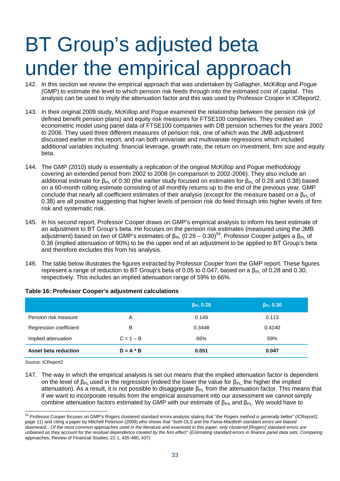# BT Group's adjusted beta under the empirical approach

- 142. In this section we review the empirical approach that was undertaken by Gallagher, McKillop and Pogue (GMP) to estimate the level to which pension risk feeds through into the estimated cost of capital. This analysis can be used to imply the attenuation factor and this was used by Professor Cooper in ICReport2.
- 143. In their original 2009 study, McKillop and Pogue examined the relationship between the pension risk (of defined benefit pension plans) and equity risk measures for FTSE100 companies. They created an econometric model using panel data of FTSE100 companies with DB pension schemes for the years 2002 to 2006. They used three different measures of pension risk, one of which was the JMB adjustment discussed earlier in this report, and ran both univariate and multivariate regressions which included additional variables including: financial leverage, growth rate, the return on investment, firm size and equity beta.
- 144. The GMP (2010) study is essentially a replication of the original McKillop and Pogue methodology covering an extended period from 2002 to 2008 (in comparison to 2002-2006). They also include an additional estimate for  $β_{PI}$  of 0.30 (the earlier study focused on estimates for  $β_{PI}$  of 0.28 and 0.38) based on a 60-month rolling estimate consisting of all monthly returns up to the end of the previous year. GMP conclude that nearly all coefficient estimates of their analysis (except for the measure based on a  $\beta_{PL}$  of 0.38) are all positive suggesting that higher levels of pension risk do feed through into higher levels of firm risk and systematic risk.
- 145. In his second report, Professor Cooper draws on GMP's empirical analysis to inform his best estimate of an adjustment to BT Group's beta. He focuses on the pension risk estimates (measured using the JMB adjustment) based on two of GMP's estimates of  $β_{PL}$  (0.28 – 0.30)<sup>54</sup>. Professor Cooper judges a  $β_{PL}$  of 0.38 (implied attenuation of 90%) to be the upper end of an adjustment to be applied to BT Group's beta and therefore excludes this from his analysis.
- 146. The table below illustrates the figures extracted by Professor Cooper from the GMP report. These figures represent a range of reduction to BT Group's beta of 0.05 to 0.047, based on a  $β_{PI}$  of 0.28 and 0.30, respectively. This includes an implied attenuation range of 59% to 66%.

|                        |             | $\beta_{PL}$ 0.28 | $\beta_{PL}$ 0.30 |
|------------------------|-------------|-------------------|-------------------|
| Pension risk measure   | A           | 0.149             | 0.113             |
| Regression coefficient | B           | 0.3448            | 0.4140            |
| Implied attenuation    | $C = 1 - B$ | 66%               | 59%               |
| Asset beta reduction   | $D = A * B$ | 0.051             | 0.047             |

#### **Table 16: Professor Cooper's adjustment calculations**

Source: ICReport2

147. The way in which the empirical analysis is set out means that the implied attenuation factor is dependent on the level of  $\beta_{PL}$  used in the regression (indeed the lower the value for  $\beta_{PL}$ , the higher the implied attenuation). As a result, it is not possible to disaggregate  $\beta_{PL}$  from the attenuation factor. This means that if we want to incorporate results from the empirical assessment into our assessment we cannot simply combine attenuation factors estimated by GMP with our estimate of  $\beta_{PA}$  and  $\beta_{PL}$ . We would have to

<sup>54</sup> Professor Cooper focuses on GMP's Rogers clustered standard errors analysis stating that "*the Rogers method is generally* better" (ICReport2, page 11) and citing a paper by Mitchell Peterson (2009) who shows that "*both OLS and the Fama-MacBeth standard errors are biased downward…Of the most common approaches used in the literature and examined in this paper, only clustered [Rogers] standard errors are unbiased as they account for the residual dependence created by the firm effect*" (*Estimating standard errors in finance panel data sets: Comparing* approaches, Review of Financial Studies, 22.1, 435-480, 437)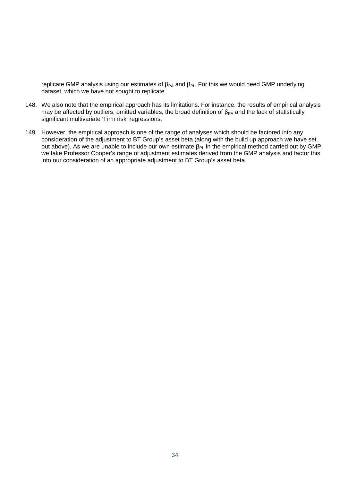replicate GMP analysis using our estimates of  $\beta_{PA}$  and  $\beta_{PL}$ . For this we would need GMP underlying dataset, which we have not sought to replicate.

- 148. We also note that the empirical approach has its limitations. For instance, the results of empirical analysis may be affected by outliers, omitted variables, the broad definition of  $\beta_{PA}$  and the lack of statistically significant multivariate 'Firm risk' regressions.
- 149. However, the empirical approach is one of the range of analyses which should be factored into any consideration of the adjustment to BT Group's asset beta (along with the build up approach we have set out above). As we are unable to include our own estimate  $β_{PL}$  in the empirical method carried out by GMP, we take Professor Cooper's range of adjustment estimates derived from the GMP analysis and factor this into our consideration of an appropriate adjustment to BT Group's asset beta.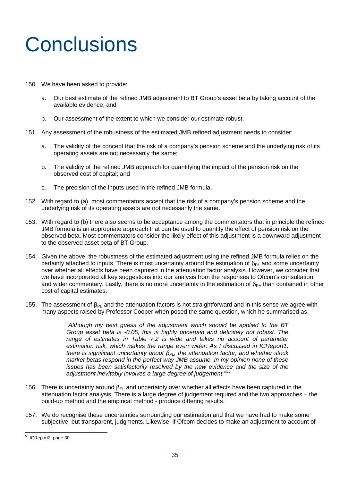# **Conclusions**

- 150. We have been asked to provide:
	- a. Our best estimate of the refined JMB adjustment to BT Group's asset beta by taking account of the available evidence; and
	- b. Our assessment of the extent to which we consider our estimate robust.
- 151. Any assessment of the robustness of the estimated JMB refined adjustment needs to consider:
	- a. The validity of the concept that the risk of a company's pension scheme and the underlying risk of its operating assets are not necessarily the same;
	- b. The validity of the refined JMB approach for quantifying the impact of the pension risk on the observed cost of capital; and
	- c. The precision of the inputs used in the refined JMB formula.
- 152. With regard to (a), most commentators accept that the risk of a company's pension scheme and the underlying risk of its operating assets are not necessarily the same.
- 153. With regard to (b) there also seems to be acceptance among the commentators that in principle the refined JMB formula is an appropriate approach that can be used to quantify the effect of pension risk on the observed beta. Most commentators consider the likely effect of this adjustment is a downward adjustment to the observed asset beta of BT Group.
- 154. Given the above, the robustness of the estimated adjustment using the refined JMB formula relies on the certainty attached to inputs. There is most uncertainty around the estimation of  $\beta_{PL}$  and some uncertainty over whether all effects have been captured in the attenuation factor analysis. However, we consider that we have incorporated all key suggestions into our analysis from the responses to Ofcom's consultation and wider commentary. Lastly, there is no more uncertainty in the estimation of  $\beta_{PA}$  than contained in other cost of capital estimates.
- 155. The assessment of  $\beta_{Pl}$  and the attenuation factors is not straightforward and in this sense we agree with many aspects raised by Professor Cooper when posed the same question, which he summarised as:

*"Although my best guess of the adjustment which should be applied to the BT Group asset beta is -0.05, this is highly uncertain and definitely not robust. The range of estimates in Table 7.2 is wide and takes no account of parameter estimation risk, which makes the range even wider. As I discussed in ICReport1, there is significant uncertainty about βPL, the attenuation factor, and whether stock market betas respond in the perfect way JMB assume. In my opinion none of these issues has been satisfactorily resolved by the new evidence and the size of the adjustment inevitably involves a large degree of judgement."<sup>55</sup>*

- 156. There is uncertainty around  $\beta_{Pl}$  and uncertainty over whether all effects have been captured in the attenuation factor analysis. There is a large degree of judgement required and the two approaches – the build-up method and the empirical method - produce differing results.
- 157. We do recognise these uncertainties surrounding our estimation and that we have had to make some subjective, but transparent, judgments. Likewise, if Ofcom decides to make an adjustment to account of

<sup>55</sup> ICReport2, page 30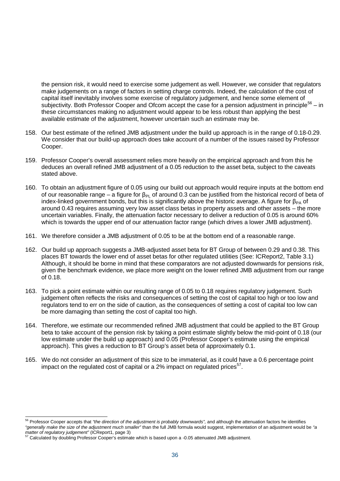the pension risk, it would need to exercise some judgement as well. However, we consider that regulators make judgements on a range of factors in setting charge controls. Indeed, the calculation of the cost of capital itself inevitably involves some exercise of regulatory judgement, and hence some element of subjectivity. Both Professor Cooper and Ofcom accept the case for a pension adjustment in principle<sup>56</sup> – in these circumstances making no adjustment would appear to be less robust than applying the best available estimate of the adjustment, however uncertain such an estimate may be.

- 158. Our best estimate of the refined JMB adjustment under the build up approach is in the range of 0.18-0.29. We consider that our build-up approach does take account of a number of the issues raised by Professor Cooper.
- 159. Professor Cooper's overall assessment relies more heavily on the empirical approach and from this he deduces an overall refined JMB adjustment of a 0.05 reduction to the asset beta, subject to the caveats stated above.
- 160. To obtain an adjustment figure of 0.05 using our build out approach would require inputs at the bottom end of our reasonable range – a figure for  $β_{PL}$  of around 0.3 can be justified from the historical record of beta of index-linked government bonds, but this is significantly above the historic average. A figure for  $\beta_{PA}$  of around 0.43 requires assuming very low asset class betas in property assets and other assets – the more uncertain variables. Finally, the attenuation factor necessary to deliver a reduction of 0.05 is around 60% which is towards the upper end of our attenuation factor range (which drives a lower JMB adjustment).
- 161. We therefore consider a JMB adjustment of 0.05 to be at the bottom end of a reasonable range.
- 162. Our build up approach suggests a JMB-adjusted asset beta for BT Group of between 0.29 and 0.38. This places BT towards the lower end of asset betas for other regulated utilities (See: ICReport2, Table 3.1) Although, it should be borne in mind that these comparators are not adjusted downwards for pensions risk, given the benchmark evidence, we place more weight on the lower refined JMB adjustment from our range of 0.18.
- 163. To pick a point estimate within our resulting range of 0.05 to 0.18 requires regulatory judgement. Such judgement often reflects the risks and consequences of setting the cost of capital too high or too low and regulators tend to err on the side of caution, as the consequences of setting a cost of capital too low can be more damaging than setting the cost of capital too high.
- 164. Therefore, we estimate our recommended refined JMB adjustment that could be applied to the BT Group beta to take account of the pension risk by taking a point estimate slightly below the mid-point of 0.18 (our low estimate under the build up approach) and 0.05 (Professor Cooper's estimate using the empirical approach). This gives a reduction to BT Group's asset beta of approximately 0.1.
- 165. We do not consider an adjustment of this size to be immaterial, as it could have a 0.6 percentage point impact on the regulated cost of capital or a 2% impact on regulated prices<sup>57</sup>.

<sup>56</sup> Professor Cooper accepts that *"the direction of the adjustment is probably downwards",* and although the attenuation factors he identifies *"generally make the size of the adjustment much smaller"* than the full JMB formula would suggest, implementation of an adjustment would be *"a matter of regulatory judgement"* (ICReport1, page 3)

<sup>57</sup> Calculated by doubling Professor Cooper's estimate which is based upon a -0.05 attenuated JMB adjustment.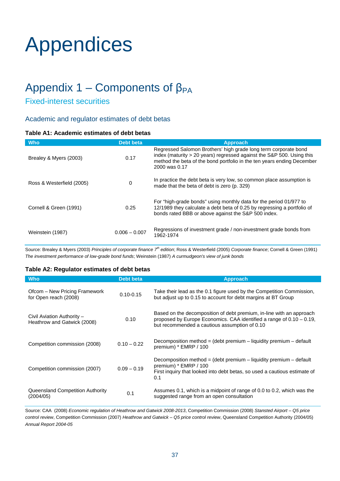# Appendices

# Appendix 1 – Components of  $β<sub>PA</sub>$

## Fixed-interest securities

### Academic and regulator estimates of debt betas

#### **Table A1: Academic estimates of debt betas**

| <b>Who</b>                | Debt beta       | <b>Approach</b>                                                                                                                                                                                                                     |
|---------------------------|-----------------|-------------------------------------------------------------------------------------------------------------------------------------------------------------------------------------------------------------------------------------|
| Brealey & Myers (2003)    | 0.17            | Regressed Salomon Brothers' high grade long term corporate bond<br>index (maturity > 20 years) regressed against the S&P 500. Using this<br>method the beta of the bond portfolio in the ten years ending December<br>2000 was 0.17 |
| Ross & Westerfield (2005) | 0               | In practice the debt beta is very low, so common place assumption is<br>made that the beta of debt is zero (p. 329)                                                                                                                 |
| Cornell & Green (1991)    | 0.25            | For "high-grade bonds" using monthly data for the period 01/977 to<br>12/1989 they calculate a debt beta of 0.25 by regressing a portfolio of<br>bonds rated BBB or above against the S&P 500 index.                                |
| Weinstein (1987)          | $0.006 - 0.007$ | Regressions of investment grade / non-investment grade bonds from<br>1962-1974                                                                                                                                                      |

Source: Brealey & Myers (2003) *Principles of corporate finance 7th edition*; Ross & Westerfield (2005) *Corporate finance*; Cornell & Green (1991) *The investment performance of low-grade bond funds*; Weinstein (1987) *A curmudgeon's view of junk bonds*

#### **Table A2: Regulator estimates of debt betas**

| <b>Who</b>                                                | <b>Debt beta</b> | <b>Approach</b>                                                                                                                                                                                  |
|-----------------------------------------------------------|------------------|--------------------------------------------------------------------------------------------------------------------------------------------------------------------------------------------------|
| Ofcom – New Pricing Framework<br>for Open reach (2008)    | $0.10 - 0.15$    | Take their lead as the 0.1 figure used by the Competition Commission,<br>but adjust up to 0.15 to account for debt margins at BT Group                                                           |
| Civil Aviation Authority -<br>Heathrow and Gatwick (2008) | 0.10             | Based on the decomposition of debt premium, in-line with an approach<br>proposed by Europe Economics. CAA identified a range of $0.10 - 0.19$ ,<br>but recommended a cautious assumption of 0.10 |
| Competition commission (2008)                             | $0.10 - 0.22$    | Decomposition method = $(debt premium - liquidity premium - default$<br>premium) * EMRP / 100                                                                                                    |
| Competition commission (2007)                             | $0.09 - 0.19$    | Decomposition method = (debt premium $-$ liquidity premium $-$ default<br>premium) * EMRP / 100<br>First inquiry that looked into debt betas, so used a cautious estimate of<br>0.1              |
| Queensland Competition Authority<br>(2004/05)             | 0.1              | Assumes 0.1, which is a midpoint of range of 0.0 to 0.2, which was the<br>suggested range from an open consultation                                                                              |

Source: CAA (2008) *Economic regulation of Heathrow and Gatwick 2008-2013*, Competition Commission (2008) *Stansted Airport – Q5 price control review*, Competition Commission (2007) *Heathrow and Gatwick – Q5 price control review*, Queensland Competition Authority (2004/05) *Annual Report 2004-05*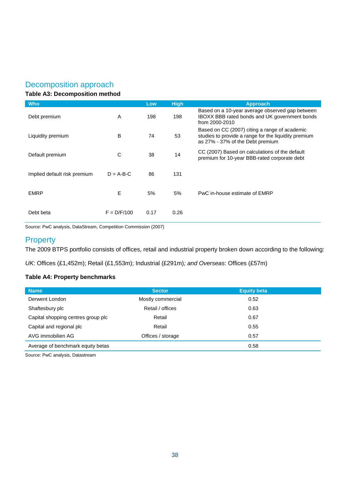## Decomposition approach

#### **Table A3: Decomposition method**

| <b>Who</b>                   |               | Low  | <b>High</b> | <b>Approach</b>                                                                                                                           |
|------------------------------|---------------|------|-------------|-------------------------------------------------------------------------------------------------------------------------------------------|
| Debt premium                 | A             | 198  | 198         | Based on a 10-year average observed gap between<br>IBOXX BBB rated bonds and UK government bonds<br>from 2000-2010                        |
| Liquidity premium            | B             | 74   | 53          | Based on CC (2007) citing a range of academic<br>studies to provide a range for the liquidity premium<br>as 27% - 37% of the Debt premium |
| Default premium              | C             | 38   | 14          | CC (2007) Based on calculations of the default<br>premium for 10-year BBB-rated corporate debt                                            |
| Implied default risk premium | $D = A-B-C$   | 86   | 131         |                                                                                                                                           |
| <b>EMRP</b>                  | E             | 5%   | 5%          | PwC in-house estimate of EMRP                                                                                                             |
| Debt beta                    | $F = D/F/100$ | 0.17 | 0.26        |                                                                                                                                           |

Source: PwC analysis, DataStream, Competition Commission (2007)

## **Property**

The 2009 BTPS portfolio consists of offices, retail and industrial property broken down according to the following:

*UK*: Offices (£1,452m); Retail (£1,553m); Industrial (£291m)*; and Overseas*: Offices (£57m)

#### **Table A4: Property benchmarks**

| <b>Name</b>                        | <b>Sector</b>     | <b>Equity beta</b> |  |
|------------------------------------|-------------------|--------------------|--|
| Derwent London                     | Mostly commercial | 0.52               |  |
| Shaftesbury plc                    | Retail / offices  | 0.63               |  |
| Capital shopping centres group plc | Retail            | 0.67               |  |
| Capital and regional plc           | Retail            | 0.55               |  |
| AVG immobilien AG                  | Offices / storage | 0.57               |  |
| Average of benchmark equity betas  |                   | 0.58               |  |

Source: PwC analysis, Datastream